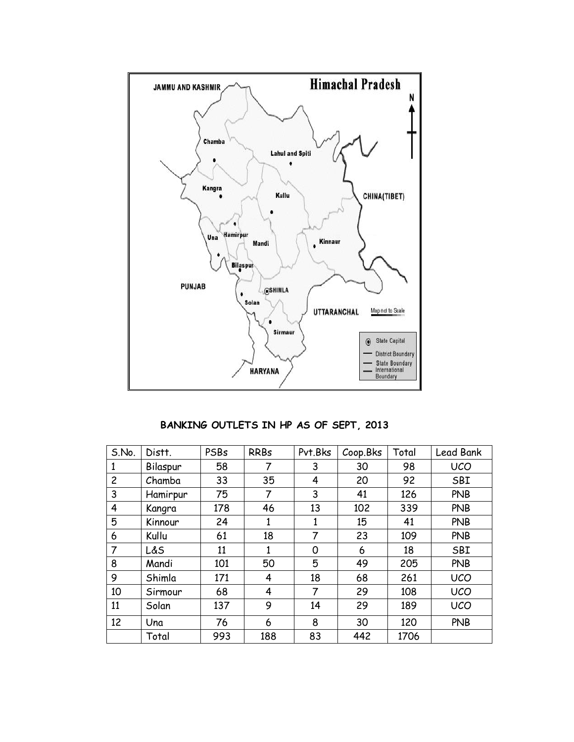

**BANKING OUTLETS IN HP AS OF SEPT, 2013**

| S.No.          | Distt.   | PSBs | <b>RRBs</b> | Pvt.Bks | Coop.Bks | Total | Lead Bank  |
|----------------|----------|------|-------------|---------|----------|-------|------------|
| 1              | Bilaspur | 58   | 7           | 3       | 30       | 98    | <b>UCO</b> |
| $\overline{c}$ | Chamba   | 33   | 35          | 4       | 20       | 92    | SBI        |
| 3              | Hamirpur | 75   | 7           | 3       | 41       | 126   | <b>PNB</b> |
| 4              | Kangra   | 178  | 46          | 13      | 102      | 339   | <b>PNB</b> |
| 5              | Kinnour  | 24   | 1           | 1       | 15       | 41    | <b>PNB</b> |
| 6              | Kullu    | 61   | 18          | 7       | 23       | 109   | <b>PNB</b> |
| 7              | L&S      | 11   | 1           | 0       | 6        | 18    | SBI        |
| 8              | Mandi    | 101  | 50          | 5       | 49       | 205   | <b>PNB</b> |
| 9              | Shimla   | 171  | 4           | 18      | 68       | 261   | <b>UCO</b> |
| 10             | Sirmour  | 68   | 4           | 7       | 29       | 108   | <b>UCO</b> |
| 11             | Solan    | 137  | 9           | 14      | 29       | 189   | <b>UCO</b> |
| 12             | Una      | 76   | 6           | 8       | 30       | 120   | <b>PNB</b> |
|                | Total    | 993  | 188         | 83      | 442      | 1706  |            |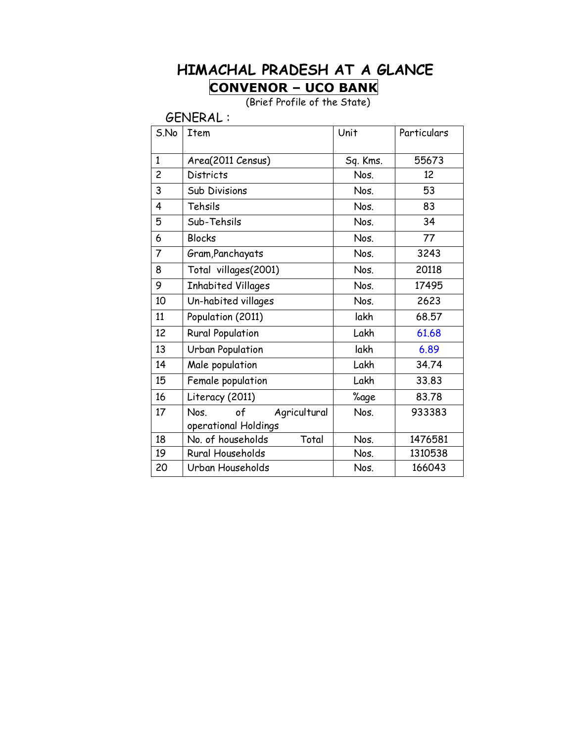#### **HIMACHAL PRADESH AT A GLANCE CONVENOR – UCO BANK**

(Brief Profile of the State)

GENERAL :

| S.No           | <b>Item</b>                | Unit     | Particulars |
|----------------|----------------------------|----------|-------------|
| $\mathbf{1}$   | Area(2011 Census)          | Sq. Kms. | 55673       |
| $\overline{c}$ | <b>Districts</b>           | Nos.     | 12          |
| 3              | <b>Sub Divisions</b>       | Nos.     | 53          |
| 4              | Tehsils                    | Nos.     | 83          |
| 5              | Sub-Tehsils                | Nos.     | 34          |
| 6              | <b>Blocks</b>              | Nos.     | 77          |
| 7              | Gram, Panchayats           | Nos.     | 3243        |
| 8              | Total villages(2001)       | Nos.     | 20118       |
| 9              | <b>Inhabited Villages</b>  | Nos.     | 17495       |
| 10             | Un-habited villages        | Nos.     | 2623        |
| 11             | Population (2011)          | lakh     | 68.57       |
| 12             | <b>Rural Population</b>    | Lakh     | 61.68       |
| 13             | <b>Urban Population</b>    | lakh     | 6.89        |
| 14             | Male population            | Lakh     | 34.74       |
| 15             | Female population          | Lakh     | 33.83       |
| 16             | Literacy (2011)            | %age     | 83.78       |
| 17             | of<br>Nos.<br>Agricultural | Nos.     | 933383      |
|                | operational Holdings       |          |             |
| 18             | No. of households<br>Total | Nos.     | 1476581     |
| 19             | Rural Households           | Nos.     | 1310538     |
| 20             | Urban Households           | Nos.     | 166043      |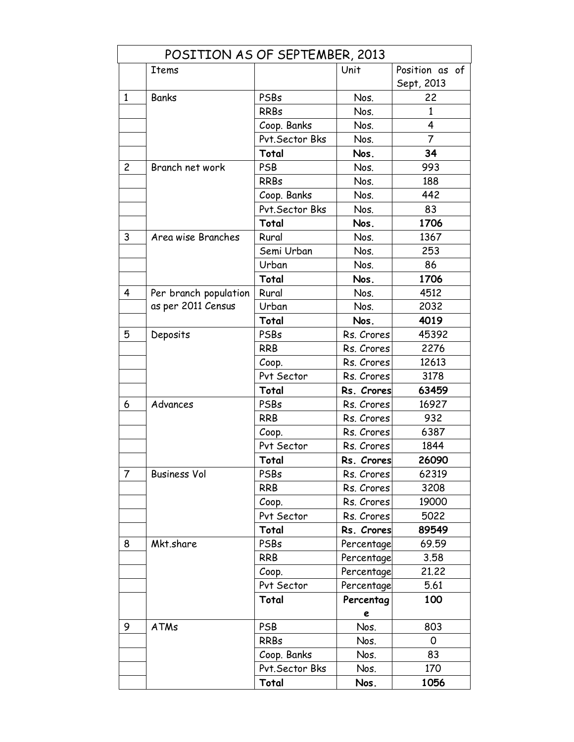|                | POSITION AS OF SEPTEMBER, 2013 |                 |            |                |  |  |
|----------------|--------------------------------|-----------------|------------|----------------|--|--|
|                | <b>Items</b>                   |                 | Unit       | Position as of |  |  |
|                |                                |                 |            | Sept, 2013     |  |  |
| $\mathbf{1}$   | Banks                          | PSBs            | Nos.       | 22             |  |  |
|                |                                | <b>RRBs</b>     | Nos.       | 1              |  |  |
|                |                                | Coop. Banks     | Nos.       | 4              |  |  |
|                |                                | Pvt. Sector Bks | Nos.       | 7              |  |  |
|                |                                | Total           | Nos.       | 34             |  |  |
| $\overline{c}$ | Branch net work                | PSB             | Nos.       | 993            |  |  |
|                |                                | <b>RRBs</b>     | Nos.       | 188            |  |  |
|                |                                | Coop. Banks     | Nos.       | 442            |  |  |
|                |                                | Pvt. Sector Bks | Nos.       | 83             |  |  |
|                |                                | Total           | Nos.       | 1706           |  |  |
| 3              | Area wise Branches             | Rural           | Nos.       | 1367           |  |  |
|                |                                | Semi Urban      | Nos.       | 253            |  |  |
|                |                                | Urban           | Nos.       | 86             |  |  |
|                |                                | Total           | Nos.       | 1706           |  |  |
| 4              | Per branch population          | Rural           | Nos.       | 4512           |  |  |
|                | as per 2011 Census             | Urban           | Nos.       | 2032           |  |  |
|                |                                | Total           | Nos.       | 4019           |  |  |
| 5              | Deposits                       | PSBs            | Rs. Crores | 45392          |  |  |
|                |                                | <b>RRB</b>      | Rs. Crores | 2276           |  |  |
|                |                                | Coop.           | Rs. Crores | 12613          |  |  |
|                |                                | Pvt Sector      | Rs. Crores | 3178           |  |  |
|                |                                | Total           | Rs. Crores | 63459          |  |  |
| 6              | Advances                       | PSBs            | Rs. Crores | 16927          |  |  |
|                |                                | <b>RRB</b>      | Rs. Crores | 932            |  |  |
|                |                                | Coop.           | Rs. Crores | 6387           |  |  |
|                |                                | Pvt Sector      | Rs. Crores | 1844           |  |  |
|                |                                | Total           | Rs. Crores | 26090          |  |  |
| 7              | <b>Business Vol</b>            | PSBs            | Rs. Crores | 62319          |  |  |
|                |                                | <b>RRB</b>      | Rs. Crores | 3208           |  |  |
|                |                                | Coop.           | Rs. Crores | 19000          |  |  |
|                |                                | Pvt Sector      | Rs. Crores | 5022           |  |  |
|                |                                | Total           | Rs. Crores | 89549          |  |  |
| 8              | Mkt.share                      | PSBs            | Percentage | 69.59          |  |  |
|                |                                | <b>RRB</b>      | Percentage | 3.58           |  |  |
|                |                                | Coop.           | Percentage | 21.22          |  |  |
|                |                                | Pvt Sector      | Percentage | 5.61           |  |  |
|                |                                | Total           | Percentag  | 100            |  |  |
|                |                                |                 | e          |                |  |  |
| 9              | <b>ATMs</b>                    | <b>PSB</b>      | Nos.       | 803            |  |  |
|                |                                | <b>RRBs</b>     | Nos.       | 0              |  |  |
|                |                                | Coop. Banks     | Nos.       | 83             |  |  |
|                |                                | Pvt. Sector Bks | Nos.       | 170            |  |  |
|                |                                | Total           | Nos.       | 1056           |  |  |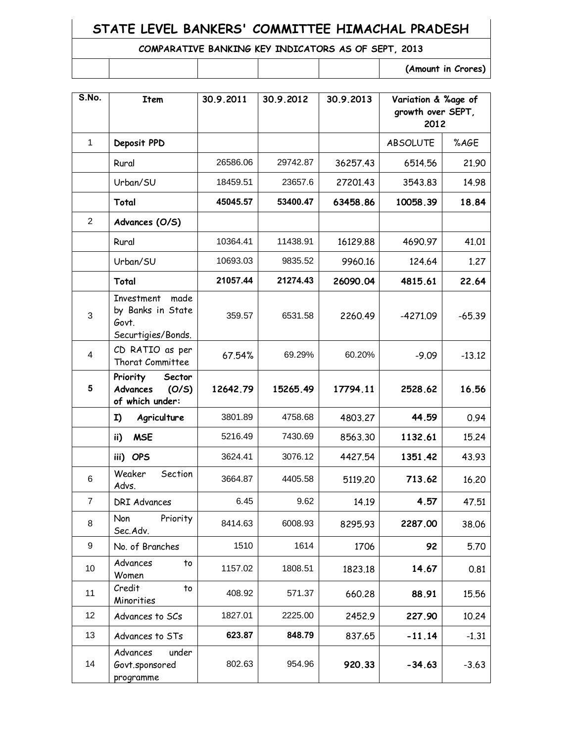#### **STATE LEVEL BANKERS' COMMITTEE HIMACHAL PRADESH**

#### **COMPARATIVE BANKING KEY INDICATORS AS OF SEPT, 2013**

| (Amount in Crores) |  |  |  |
|--------------------|--|--|--|

| S.No.          | <b>Item</b>                                                            | 30.9.2011 | 30.9.2012 | 30.9.2013 | Variation & %age of<br>growth over SEPT,<br>2012 |          |
|----------------|------------------------------------------------------------------------|-----------|-----------|-----------|--------------------------------------------------|----------|
| $\mathbf{1}$   | Deposit PPD                                                            |           |           |           | <b>ABSOLUTE</b>                                  | %AGE     |
|                | Rural                                                                  | 26586.06  | 29742.87  | 36257.43  | 6514.56                                          | 21.90    |
|                | Urban/SU                                                               | 18459.51  | 23657.6   | 27201.43  | 3543.83                                          | 14.98    |
|                | Total                                                                  | 45045.57  | 53400.47  | 63458.86  | 10058.39                                         | 18.84    |
| $\overline{2}$ | Advances (O/S)                                                         |           |           |           |                                                  |          |
|                | Rural                                                                  | 10364.41  | 11438.91  | 16129.88  | 4690.97                                          | 41.01    |
|                | Urban/SU                                                               | 10693.03  | 9835.52   | 9960.16   | 124.64                                           | 1.27     |
|                | Total                                                                  | 21057.44  | 21274.43  | 26090.04  | 4815.61                                          | 22.64    |
| 3              | Investment<br>made<br>by Banks in State<br>Govt.<br>Securtigies/Bonds. | 359.57    | 6531.58   | 2260.49   | $-4271.09$                                       | $-65.39$ |
| 4              | CD RATIO as per<br>Thorat Committee                                    | 67.54%    | 69.29%    | 60.20%    | $-9.09$                                          | $-13.12$ |
| 5              | Priority<br>Sector<br>Advances<br>(O/S)<br>of which under:             | 12642.79  | 15265.49  | 17794.11  | 2528.62                                          | 16.56    |
|                | Agriculture<br>I)                                                      | 3801.89   | 4758.68   | 4803.27   | 44.59                                            | 0.94     |
|                | <b>MSE</b><br>ii)                                                      | 5216.49   | 7430.69   | 8563.30   | 1132.61                                          | 15.24    |
|                | iii) OPS                                                               | 3624.41   | 3076.12   | 4427.54   | 1351.42                                          | 43.93    |
| 6              | Section<br>Weaker<br>Advs.                                             | 3664.87   | 4405.58   | 5119.20   | 713.62                                           | 16.20    |
| $\overline{7}$ | <b>DRI Advances</b>                                                    | 6.45      | 9.62      | 14.19     | 4.57                                             | 47.51    |
| 8              | Priority<br><b>Non</b><br>Sec.Adv.                                     | 8414.63   | 6008.93   | 8295.93   | 2287.00                                          | 38.06    |
| 9              | No. of Branches                                                        | 1510      | 1614      | 1706      | 92                                               | 5.70     |
| 10             | Advances<br>to<br>Women                                                | 1157.02   | 1808.51   | 1823.18   | 14.67                                            | 0.81     |
| 11             | Credit<br>to<br>Minorities                                             | 408.92    | 571.37    | 660.28    | 88.91                                            | 15.56    |
| 12             | Advances to SCs                                                        | 1827.01   | 2225.00   | 2452.9    | 227.90                                           | 10.24    |
| 13             | Advances to STs                                                        | 623.87    | 848.79    | 837.65    | $-11.14$                                         | $-1.31$  |
| 14             | Advances<br>under<br>Govt.sponsored<br>programme                       | 802.63    | 954.96    | 920.33    | $-34.63$                                         | $-3.63$  |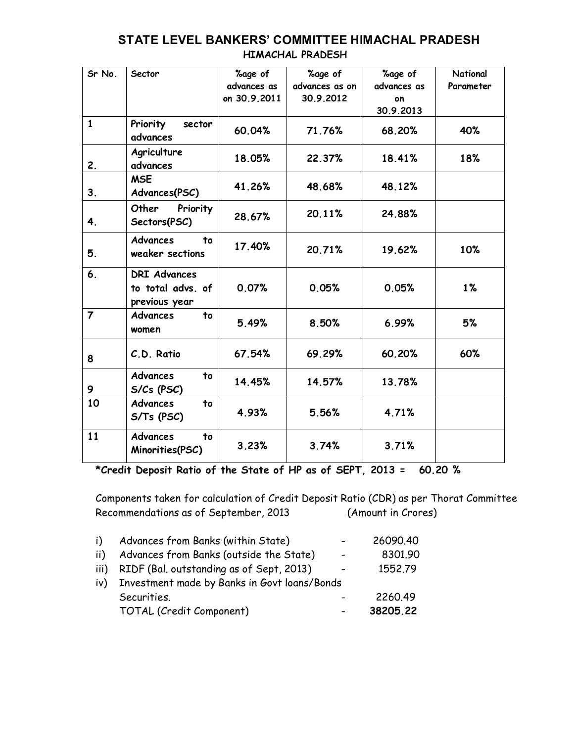| Sr No.         | Sector                                                    | %age of<br>advances as<br>on 30.9.2011 | %age of<br>advances as on<br>30.9.2012 | %age of<br>advances as<br>on<br>30.9.2013 | <b>National</b><br>Parameter |
|----------------|-----------------------------------------------------------|----------------------------------------|----------------------------------------|-------------------------------------------|------------------------------|
| $\mathbf{1}$   | Priority<br>sector<br>advances                            | 60.04%                                 | 71.76%                                 | 68.20%                                    | 40%                          |
| 2.             | Agriculture<br>advances                                   | 18.05%                                 | 22.37%                                 | 18.41%                                    | 18%                          |
| 3.             | <b>MSE</b><br>Advances(PSC)                               | 41.26%                                 | 48.68%                                 | 48.12%                                    |                              |
| 4.             | Other<br>Priority<br>Sectors(PSC)                         | 28.67%                                 | 20.11%                                 | 24.88%                                    |                              |
| 5.             | <b>Advances</b><br>to<br>weaker sections                  | 17.40%                                 | 20.71%                                 | 19.62%                                    | 10%                          |
| 6.             | <b>DRI Advances</b><br>to total advs. of<br>previous year | 0.07%                                  | 0.05%                                  | 0.05%                                     | 1%                           |
| $\overline{7}$ | <b>Advances</b><br>to<br>women                            | 5.49%                                  | 8.50%                                  | 6.99%                                     | 5%                           |
| 8              | C.D. Ratio                                                | 67.54%                                 | 69.29%                                 | 60.20%                                    | 60%                          |
| 9              | <b>Advances</b><br>to<br>S/Cs (PSC)                       | 14.45%                                 | 14.57%                                 | 13.78%                                    |                              |
| 10             | <b>Advances</b><br>to<br>S/Ts (PSC)                       | 4.93%                                  | 5.56%                                  | 4.71%                                     |                              |
| 11             | <b>Advances</b><br>to<br>Minorities(PSC)                  | 3.23%                                  | 3.74%                                  | 3.71%                                     |                              |

## **STATE LEVEL BANKERS' COMMITTEE HIMACHAL PRADESH**

 **HIMACHAL PRADESH**

**\*Credit Deposit Ratio of the State of HP as of SEPT, 2013 = 60.20 %**

Components taken for calculation of Credit Deposit Ratio (CDR) as per Thorat Committee Recommendations as of September, 2013 (Amount in Crores)

| i)   | Advances from Banks (within State)           |                          | 26090.40 |
|------|----------------------------------------------|--------------------------|----------|
| ii)  | Advances from Banks (outside the State)      | $\overline{\phantom{a}}$ | 8301.90  |
| iii) | RIDF (Bal. outstanding as of Sept, 2013)     | $\overline{\phantom{a}}$ | 1552.79  |
| iv)  | Investment made by Banks in Govt loans/Bonds |                          |          |
|      | Securities.                                  |                          | 2260.49  |
|      | TOTAL (Credit Component)                     | $\blacksquare$           | 38205.22 |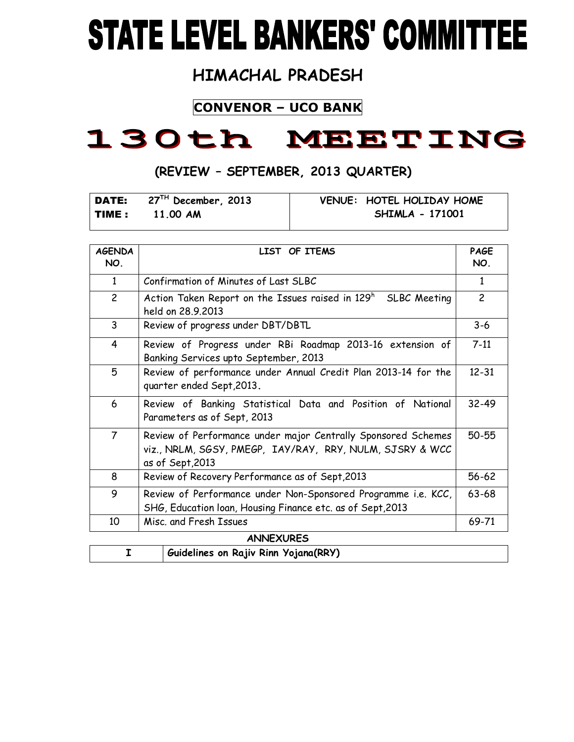# **STATE LEVEL BANKERS' COMMITTEE**

## **HIMACHAL PRADESH**

## **CONVENOR – UCO BANK**

## 130th MEETING

### **(REVIEW – SEPTEMBER, 2013 QUARTER)**

|              | $\sqrt{P}$ DATE: $27^{TH}$ December, 2013 | VENUE: HOTEL HOLIDAY HOME |
|--------------|-------------------------------------------|---------------------------|
| <b>TIME:</b> | 11.00 AM                                  | <b>SHIMLA - 171001</b>    |

| <b>AGENDA</b><br>NO. | LIST OF ITEMS                                                                                                                                 | <b>PAGE</b><br>NO. |
|----------------------|-----------------------------------------------------------------------------------------------------------------------------------------------|--------------------|
| 1                    | Confirmation of Minutes of Last SLBC                                                                                                          | 1                  |
| $\overline{2}$       | Action Taken Report on the Issues raised in 129 <sup>h</sup> SLBC Meeting<br>held on 28.9.2013                                                | $\overline{c}$     |
| 3                    | Review of progress under DBT/DBTL                                                                                                             | $3 - 6$            |
| 4                    | Review of Progress under RBi Roadmap 2013-16 extension of<br>Banking Services upto September, 2013                                            | $7 - 11$           |
| 5                    | Review of performance under Annual Credit Plan 2013-14 for the<br>quarter ended Sept, 2013.                                                   | $12 - 31$          |
| 6                    | Review of Banking Statistical Data and Position of National<br>Parameters as of Sept, 2013                                                    | 32-49              |
| $\overline{7}$       | Review of Performance under major Centrally Sponsored Schemes<br>viz., NRLM, SGSY, PMEGP, IAY/RAY, RRY, NULM, SJSRY & WCC<br>as of Sept, 2013 | 50-55              |
| 8                    | Review of Recovery Performance as of Sept, 2013                                                                                               | $56 - 62$          |
| 9                    | Review of Performance under Non-Sponsored Programme i.e. KCC,<br>SHG, Education loan, Housing Finance etc. as of Sept, 2013                   | 63-68              |
| 10                   | Misc. and Fresh Issues                                                                                                                        | 69-71              |
|                      | ANINIEVI IDEC                                                                                                                                 |                    |

| <b>ANNEXURES</b> |                                      |  |  |  |
|------------------|--------------------------------------|--|--|--|
|                  | Guidelines on Rajiv Rinn Yojana(RRY) |  |  |  |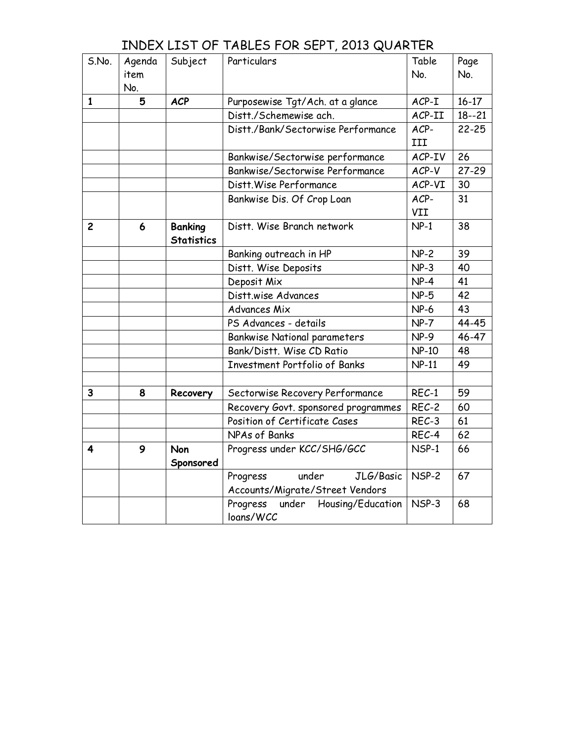|                |        | , , , , , , , , , , , , , , , |                                     |              |           |
|----------------|--------|-------------------------------|-------------------------------------|--------------|-----------|
| S.No.          | Agenda | Subject                       | Particulars                         | Table        | Page      |
|                | item   |                               |                                     | No.          | No.       |
|                | No.    |                               |                                     |              |           |
| 1              | 5      | <b>ACP</b>                    | Purposewise Tgt/Ach. at a glance    | $ACP-I$      | $16 - 17$ |
|                |        |                               | Distt./Schemewise ach.              | ACP-II       | $18 - 21$ |
|                |        |                               | Distt./Bank/Sectorwise Performance  | ACP-         | $22 - 25$ |
|                |        |                               |                                     | III          |           |
|                |        |                               | Bankwise/Sectorwise performance     | ACP-IV       | 26        |
|                |        |                               | Bankwise/Sectorwise Performance     | ACP-V        | $27 - 29$ |
|                |        |                               | Distt. Wise Performance             | ACP-VI       | 30        |
|                |        |                               | Bankwise Dis. Of Crop Loan          | ACP-         | 31        |
|                |        |                               |                                     | VII          |           |
| $\overline{c}$ | 6      | <b>Banking</b>                | Distt. Wise Branch network          | $NP-1$       | 38        |
|                |        | <b>Statistics</b>             |                                     |              |           |
|                |        |                               | Banking outreach in HP              | $NP-2$       | 39        |
|                |        |                               | Distt. Wise Deposits                | $NP-3$       | 40        |
|                |        |                               | Deposit Mix                         | $NP-4$       | 41        |
|                |        |                               | Distt.wise Advances                 | $NP-5$       | 42        |
|                |        |                               | <b>Advances Mix</b>                 | $NP-6$       | 43        |
|                |        |                               | PS Advances - details               | $NP-7$       | 44-45     |
|                |        |                               | <b>Bankwise National parameters</b> | $NP-9$       | 46-47     |
|                |        |                               | Bank/Distt, Wise CD Ratio           | <b>NP-10</b> | 48        |
|                |        |                               | Investment Portfolio of Banks       | $NP-11$      | 49        |
|                |        |                               |                                     |              |           |
| 3              | 8      | Recovery                      | Sectorwise Recovery Performance     | REC-1        | 59        |
|                |        |                               | Recovery Govt. sponsored programmes | REC-2        | 60        |
|                |        |                               | Position of Certificate Cases       | REC-3        | 61        |
|                |        |                               | NPAs of Banks                       | REC-4        | 62        |
| 4              | 9      | <b>Non</b>                    | Progress under KCC/SHG/GCC          | NSP-1        | 66        |
|                |        | Sponsored                     |                                     |              |           |
|                |        |                               | under<br>JLG/Basic<br>Progress      | NSP-2        | 67        |
|                |        |                               | Accounts/Migrate/Street Vendors     |              |           |
|                |        |                               | Progress under Housing/Education    | NSP-3        | 68        |
|                |        |                               | loans/WCC                           |              |           |

#### INDEX LIST OF TABLES FOR SEPT, 2013 QUARTER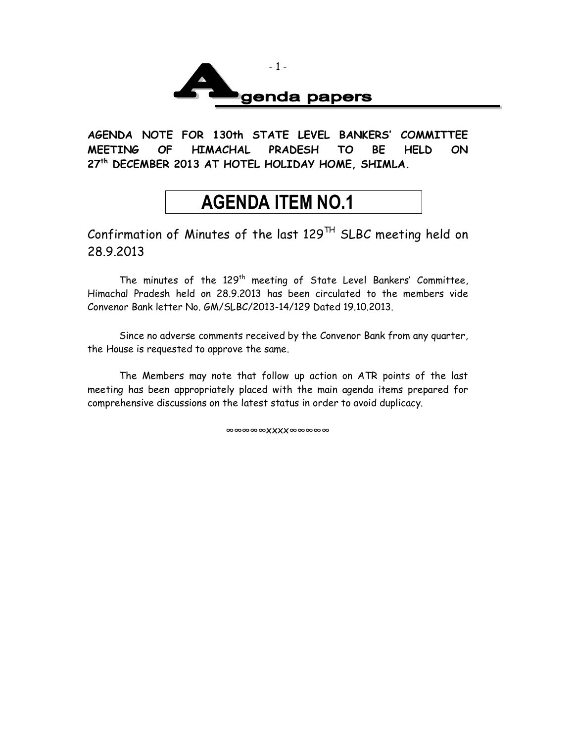

**AGENDA NOTE FOR 130th STATE LEVEL BANKERS' COMMITTEE MEETING OF HIMACHAL PRADESH TO BE HELD ON 27th DECEMBER 2013 AT HOTEL HOLIDAY HOME, SHIMLA.**

## **AGENDA ITEM NO.1**

Confirmation of Minutes of the last  $129^{TH}$  SLBC meeting held on 28.9.2013

The minutes of the  $129<sup>th</sup>$  meeting of State Level Bankers' Committee, Himachal Pradesh held on 28.9.2013 has been circulated to the members vide Convenor Bank letter No. GM/SLBC/2013-14/129 Dated 19.10.2013.

Since no adverse comments received by the Convenor Bank from any quarter, the House is requested to approve the same.

The Members may note that follow up action on ATR points of the last meeting has been appropriately placed with the main agenda items prepared for comprehensive discussions on the latest status in order to avoid duplicacy.

∞∞∞∞∞xxxx∞∞∞∞∞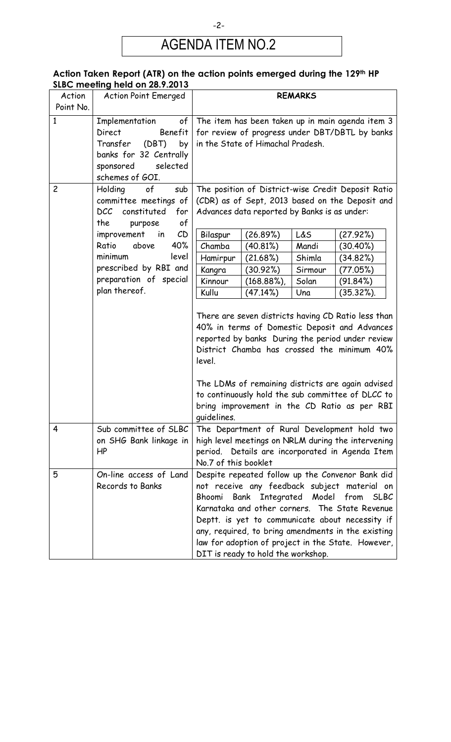## AGENDA ITEM NO.2

#### **Action Taken Report (ATR) on the action points emerged during the 129th HP SLBC meeting held on 28.9.2013**

| Action         | 3198.1110811119 110101011 20.7.2010<br><b>Action Point Emerged</b> | <b>REMARKS</b>                                                                                                                                                                                                                                                                                                                                                                             |                                                                  |         |                                                                                                                                                                                                                                                                              |  |
|----------------|--------------------------------------------------------------------|--------------------------------------------------------------------------------------------------------------------------------------------------------------------------------------------------------------------------------------------------------------------------------------------------------------------------------------------------------------------------------------------|------------------------------------------------------------------|---------|------------------------------------------------------------------------------------------------------------------------------------------------------------------------------------------------------------------------------------------------------------------------------|--|
| Point No.      |                                                                    |                                                                                                                                                                                                                                                                                                                                                                                            |                                                                  |         |                                                                                                                                                                                                                                                                              |  |
| $\mathbf{1}$   | Implementation<br>of                                               |                                                                                                                                                                                                                                                                                                                                                                                            |                                                                  |         | The item has been taken up in main agenda item 3                                                                                                                                                                                                                             |  |
|                | Direct<br>Benefit                                                  |                                                                                                                                                                                                                                                                                                                                                                                            |                                                                  |         | for review of progress under DBT/DBTL by banks                                                                                                                                                                                                                               |  |
|                | (DBT)<br>by<br>Transfer                                            |                                                                                                                                                                                                                                                                                                                                                                                            | in the State of Himachal Pradesh.                                |         |                                                                                                                                                                                                                                                                              |  |
|                | banks for 32 Centrally                                             |                                                                                                                                                                                                                                                                                                                                                                                            |                                                                  |         |                                                                                                                                                                                                                                                                              |  |
|                | selected<br>sponsored                                              |                                                                                                                                                                                                                                                                                                                                                                                            |                                                                  |         |                                                                                                                                                                                                                                                                              |  |
|                | schemes of GOI.                                                    |                                                                                                                                                                                                                                                                                                                                                                                            |                                                                  |         |                                                                                                                                                                                                                                                                              |  |
| $\overline{c}$ | Holding<br>of<br>sub                                               |                                                                                                                                                                                                                                                                                                                                                                                            |                                                                  |         | The position of District-wise Credit Deposit Ratio                                                                                                                                                                                                                           |  |
|                | committee meetings of                                              | (CDR) as of Sept, 2013 based on the Deposit and                                                                                                                                                                                                                                                                                                                                            |                                                                  |         |                                                                                                                                                                                                                                                                              |  |
|                | <b>DCC</b><br>constituted<br>for                                   | Advances data reported by Banks is as under:                                                                                                                                                                                                                                                                                                                                               |                                                                  |         |                                                                                                                                                                                                                                                                              |  |
|                | the<br>of<br>purpose                                               |                                                                                                                                                                                                                                                                                                                                                                                            |                                                                  |         |                                                                                                                                                                                                                                                                              |  |
|                | CD<br>improvement<br>in                                            | Bilaspur                                                                                                                                                                                                                                                                                                                                                                                   | (26.89%)                                                         | L&S     | (27.92%)                                                                                                                                                                                                                                                                     |  |
|                | 40%<br>Ratio<br>above                                              | Chamba                                                                                                                                                                                                                                                                                                                                                                                     | (40.81%)                                                         | Mandi   | (30.40%)                                                                                                                                                                                                                                                                     |  |
|                | minimum<br>level                                                   | Hamirpur                                                                                                                                                                                                                                                                                                                                                                                   | (21.68%)                                                         | Shimla  | (34.82%)                                                                                                                                                                                                                                                                     |  |
|                | prescribed by RBI and                                              | Kangra                                                                                                                                                                                                                                                                                                                                                                                     | (30.92%)                                                         | Sirmour | (77.05%)                                                                                                                                                                                                                                                                     |  |
|                | preparation of special                                             | Kinnour                                                                                                                                                                                                                                                                                                                                                                                    | $(168.88\%)$                                                     | Solan   | (91.84%)                                                                                                                                                                                                                                                                     |  |
|                | plan thereof.                                                      | Kullu                                                                                                                                                                                                                                                                                                                                                                                      | (47.14%)                                                         | Una     | $(35.32\%).$                                                                                                                                                                                                                                                                 |  |
|                |                                                                    | There are seven districts having CD Ratio less than<br>40% in terms of Domestic Deposit and Advances<br>reported by banks During the period under review<br>District Chamba has crossed the minimum 40%<br>level.<br>The LDMs of remaining districts are again advised<br>to continuously hold the sub committee of DLCC to<br>bring improvement in the CD Ratio as per RBI<br>quidelines. |                                                                  |         |                                                                                                                                                                                                                                                                              |  |
| 4              | Sub committee of SLBC<br>on SHG Bank linkage in<br>HP              | The Department of Rural Development hold two<br>high level meetings on NRLM during the intervening<br>period. Details are incorporated in Agenda Item<br>No.7 of this booklet                                                                                                                                                                                                              |                                                                  |         |                                                                                                                                                                                                                                                                              |  |
| 5              | On-line access of Land                                             |                                                                                                                                                                                                                                                                                                                                                                                            |                                                                  |         | Despite repeated follow up the Convenor Bank did                                                                                                                                                                                                                             |  |
|                | Records to Banks                                                   | Bhoomi                                                                                                                                                                                                                                                                                                                                                                                     | Bank Integrated Model from<br>DIT is ready to hold the workshop. |         | not receive any feedback subject material on<br><b>SLBC</b><br>Karnataka and other corners. The State Revenue<br>Deptt. is yet to communicate about necessity if<br>any, required, to bring amendments in the existing<br>law for adoption of project in the State. However, |  |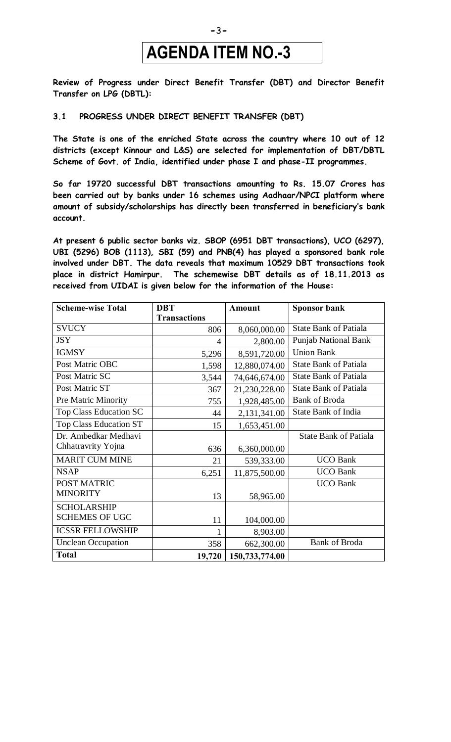## **AGENDA ITEM NO.-3**

**Review of Progress under Direct Benefit Transfer (DBT) and Director Benefit Transfer on LPG (DBTL):**

#### **3.1 PROGRESS UNDER DIRECT BENEFIT TRANSFER (DBT)**

**The State is one of the enriched State across the country where 10 out of 12 districts (except Kinnour and L&S) are selected for implementation of DBT/DBTL Scheme of Govt. of India, identified under phase I and phase-II programmes.**

**So far 19720 successful DBT transactions amounting to Rs. 15.07 Crores has been carried out by banks under 16 schemes using Aadhaar/NPCI platform where amount of subsidy/scholarships has directly been transferred in beneficiary's bank account.**

**At present 6 public sector banks viz. SBOP (6951 DBT transactions), UCO (6297), UBI (5296) BOB (1113), SBI (59) and PNB(4) has played a sponsored bank role involved under DBT. The data reveals that maximum 10529 DBT transactions took place in district Hamirpur. The schemewise DBT details as of 18.11.2013 as received from UIDAI is given below for the information of the House:**

| <b>Scheme-wise Total</b>      | <b>DBT</b>          | <b>Amount</b>  | <b>Sponsor bank</b>          |
|-------------------------------|---------------------|----------------|------------------------------|
|                               | <b>Transactions</b> |                |                              |
| <b>SVUCY</b>                  | 806                 | 8,060,000.00   | <b>State Bank of Patiala</b> |
| <b>JSY</b>                    | $\overline{4}$      | 2,800.00       | <b>Punjab National Bank</b>  |
| <b>IGMSY</b>                  | 5,296               | 8,591,720.00   | <b>Union Bank</b>            |
| Post Matric OBC               | 1,598               | 12,880,074.00  | <b>State Bank of Patiala</b> |
| Post Matric SC                | 3,544               | 74,646,674.00  | <b>State Bank of Patiala</b> |
| Post Matric ST                | 367                 | 21,230,228.00  | <b>State Bank of Patiala</b> |
| Pre Matric Minority           | 755                 | 1,928,485.00   | <b>Bank of Broda</b>         |
| <b>Top Class Education SC</b> | 44                  | 2,131,341.00   | <b>State Bank of India</b>   |
| <b>Top Class Education ST</b> | 15                  | 1,653,451.00   |                              |
| Dr. Ambedkar Medhavi          |                     |                | <b>State Bank of Patiala</b> |
| Chhatravrity Yojna            | 636                 | 6,360,000.00   |                              |
| <b>MARIT CUM MINE</b>         | 21                  | 539,333.00     | <b>UCO Bank</b>              |
| <b>NSAP</b>                   | 6,251               | 11,875,500.00  | <b>UCO Bank</b>              |
| POST MATRIC                   |                     |                | <b>UCO Bank</b>              |
| <b>MINORITY</b>               | 13                  | 58,965.00      |                              |
| <b>SCHOLARSHIP</b>            |                     |                |                              |
| <b>SCHEMES OF UGC</b>         | 11                  | 104,000.00     |                              |
| <b>ICSSR FELLOWSHIP</b>       | 1                   | 8,903.00       |                              |
| <b>Unclean Occupation</b>     | 358                 | 662,300.00     | <b>Bank of Broda</b>         |
| <b>Total</b>                  | 19,720              | 150,733,774.00 |                              |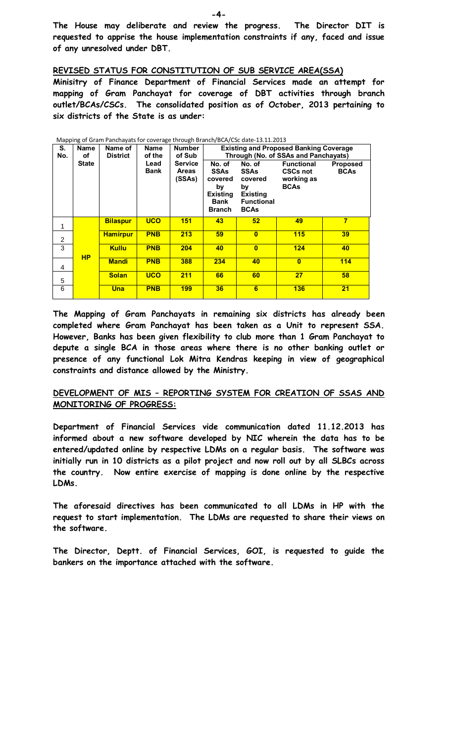**The House may deliberate and review the progress. The Director DIT is requested to apprise the house implementation constraints if any, faced and issue of any unresolved under DBT.** 

**REVISED STATUS FOR CONSTITUTION OF SUB SERVICE AREA(SSA)**

**Minisitry of Finance Department of Financial Services made an attempt for mapping of Gram Panchayat for coverage of DBT activities through branch outlet/BCAs/CSCs. The consolidated position as of October, 2013 pertaining to six districts of the State is as under:**

| S.<br>No.      | Name<br>οf   | Name of<br><b>District</b> | Name<br>of the      | <b>Number</b><br>of Sub                  | <b>Existing and Proposed Banking Coverage</b><br>Through (No. of SSAs and Panchayats) |                                                                                        |                                                                   |                                |  |  |  |
|----------------|--------------|----------------------------|---------------------|------------------------------------------|---------------------------------------------------------------------------------------|----------------------------------------------------------------------------------------|-------------------------------------------------------------------|--------------------------------|--|--|--|
|                | <b>State</b> |                            | Lead<br><b>Bank</b> | <b>Service</b><br><b>Areas</b><br>(SSAs) | No. of<br><b>SSAs</b><br>covered<br>by<br><b>Existing</b><br>Bank<br><b>Branch</b>    | No. of<br>SSAs<br>covered<br>by<br><b>Existing</b><br><b>Functional</b><br><b>BCAs</b> | <b>Functional</b><br><b>CSCs not</b><br>working as<br><b>BCAs</b> | <b>Proposed</b><br><b>BCAs</b> |  |  |  |
| 1              |              | <b>Bilaspur</b>            | <b>UCO</b>          | <b>151</b>                               | 43                                                                                    | 52                                                                                     | 49                                                                | 7                              |  |  |  |
| 2              |              | <b>Hamirpur</b>            | <b>PNB</b>          | 213                                      | 59                                                                                    | $\mathbf{0}$                                                                           | 115                                                               | 39                             |  |  |  |
| 3              |              | <b>Kullu</b>               | <b>PNB</b>          | 204                                      | 40                                                                                    | $\mathbf{0}$                                                                           | 124                                                               | 40                             |  |  |  |
| 4              | <b>HP</b>    | <b>Mandi</b>               | <b>PNB</b>          | 388                                      | 234                                                                                   | 40                                                                                     | $\mathbf{0}$                                                      | 114                            |  |  |  |
| $\overline{5}$ |              | <b>Solan</b>               | <b>UCO</b>          | 211                                      | 66                                                                                    | 60                                                                                     | 27                                                                | 58                             |  |  |  |
| 6              |              | Una                        | <b>PNB</b>          | 199                                      | 36                                                                                    | 6                                                                                      | 136                                                               | 21                             |  |  |  |

Mapping of Gram Panchayats for coverage through Branch/BCA/CSc date-13.11.2013

**The Mapping of Gram Panchayats in remaining six districts has already been completed where Gram Panchayat has been taken as a Unit to represent SSA. However, Banks has been given flexibility to club more than 1 Gram Panchayat to depute a single BCA in those areas where there is no other banking outlet or presence of any functional Lok Mitra Kendras keeping in view of geographical constraints and distance allowed by the Ministry.** 

#### **DEVELOPMENT OF MIS – REPORTING SYSTEM FOR CREATION OF SSAS AND MONITORING OF PROGRESS:**

**Department of Financial Services vide communication dated 11.12.2013 has informed about a new software developed by NIC wherein the data has to be entered/updated online by respective LDMs on a regular basis. The software was initially run in 10 districts as a pilot project and now roll out by all SLBCs across the country. Now entire exercise of mapping is done online by the respective LDMs.** 

**The aforesaid directives has been communicated to all LDMs in HP with the request to start implementation. The LDMs are requested to share their views on the software.**

**The Director, Deptt. of Financial Services, GOI, is requested to guide the bankers on the importance attached with the software.**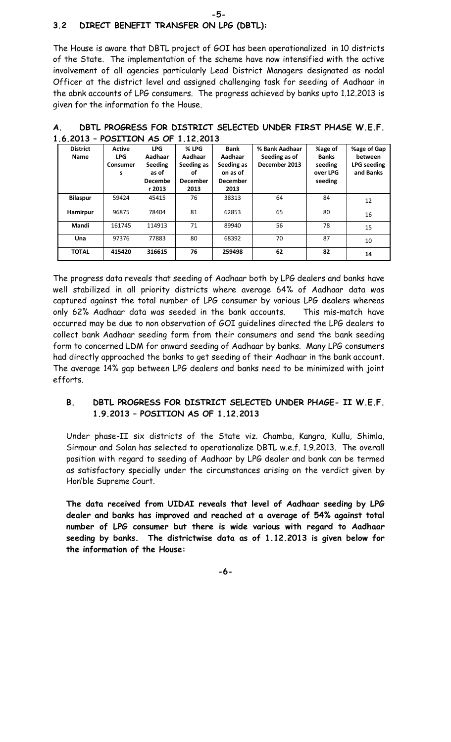#### **3.2 DIRECT BENEFIT TRANSFER ON LPG (DBTL):**

The House is aware that DBTL project of GOI has been operationalized in 10 districts of the State. The implementation of the scheme have now intensified with the active involvement of all agencies particularly Lead District Managers designated as nodal Officer at the district level and assigned challenging task for seeding of Aadhaar in the abnk accounts of LPG consumers. The progress achieved by banks upto 1.12.2013 is given for the information fo the House.

**-5-**

| .                       | 001 - 101 TU OI                              |                                                                | .                                                               |                                                                             |                                                  |                                                           |                                                           |
|-------------------------|----------------------------------------------|----------------------------------------------------------------|-----------------------------------------------------------------|-----------------------------------------------------------------------------|--------------------------------------------------|-----------------------------------------------------------|-----------------------------------------------------------|
| <b>District</b><br>Name | <b>Active</b><br><b>LPG</b><br>Consumer<br>s | <b>LPG</b><br>Aadhaar<br>Seeding<br>as of<br>Decembe<br>r 2013 | % LPG<br>Aadhaar<br>Seeding as<br>οf<br><b>December</b><br>2013 | <b>Bank</b><br>Aadhaar<br>Seeding as<br>on as of<br><b>December</b><br>2013 | % Bank Aadhaar<br>Seeding as of<br>December 2013 | %age of<br><b>Banks</b><br>seeding<br>over LPG<br>seeding | %age of Gap<br>between<br><b>LPG</b> seeding<br>and Banks |
| <b>Bilaspur</b>         | 59424                                        | 45415                                                          | 76                                                              | 38313                                                                       | 64                                               | 84                                                        | 12                                                        |
| Hamirpur                | 96875                                        | 78404                                                          | 81                                                              | 62853                                                                       | 65                                               | 80                                                        | 16                                                        |
| Mandi                   | 161745                                       | 114913                                                         | 71                                                              | 89940                                                                       | 56                                               | 78                                                        | 15                                                        |
| Una                     | 97376                                        | 77883                                                          | 80                                                              | 68392                                                                       | 70                                               | 87                                                        | 10                                                        |
| <b>TOTAL</b>            | 415420                                       | 316615                                                         | 76                                                              | 259498                                                                      | 62                                               | 82                                                        | 14                                                        |

**A. DBTL PROGRESS FOR DISTRICT SELECTED UNDER FIRST PHASE W.E.F. 1.6.2013 – POSITION AS OF 1.12.2013**

The progress data reveals that seeding of Aadhaar both by LPG dealers and banks have well stabilized in all priority districts where average 64% of Aadhaar data was captured against the total number of LPG consumer by various LPG dealers whereas only 62% Aadhaar data was seeded in the bank accounts. This mis-match have occurred may be due to non observation of GOI guidelines directed the LPG dealers to collect bank Aadhaar seeding form from their consumers and send the bank seeding form to concerned LDM for onward seeding of Aadhaar by banks. Many LPG consumers had directly approached the banks to get seeding of their Aadhaar in the bank account. The average 14% gap between LPG dealers and banks need to be minimized with joint efforts.

#### **B. DBTL PROGRESS FOR DISTRICT SELECTED UNDER PHAGE- II W.E.F. 1.9.2013 – POSITION AS OF 1.12.2013**

Under phase-II six districts of the State viz. Chamba, Kangra, Kullu, Shimla, Sirmour and Solan has selected to operationalize DBTL w.e.f. 1.9.2013. The overall position with regard to seeding of Aadhaar by LPG dealer and bank can be termed as satisfactory specially under the circumstances arising on the verdict given by Hon'ble Supreme Court.

**The data received from UIDAI reveals that level of Aadhaar seeding by LPG dealer and banks has improved and reached at a average of 54% against total number of LPG consumer but there is wide various with regard to Aadhaar seeding by banks. The districtwise data as of 1.12.2013 is given below for the information of the House:**

**-6-**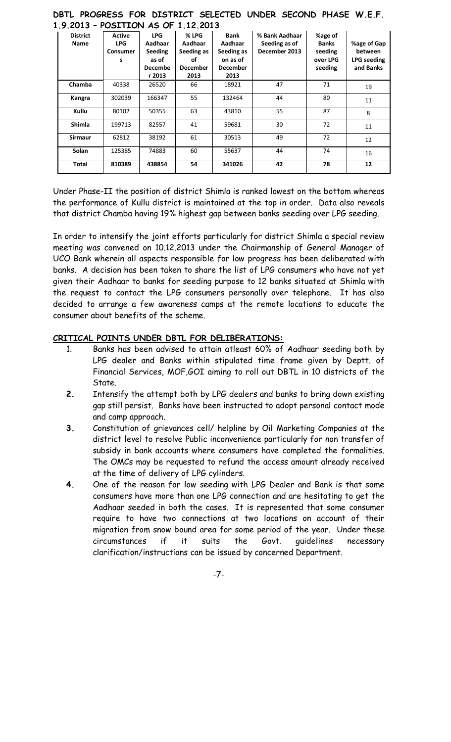| 1.9.2013 - POSITION AS OF 1.12.2013 |                                              |                                                                              |                                                                 |                                                                             |                                                  |                                                           |                                                           |  |  |  |  |
|-------------------------------------|----------------------------------------------|------------------------------------------------------------------------------|-----------------------------------------------------------------|-----------------------------------------------------------------------------|--------------------------------------------------|-----------------------------------------------------------|-----------------------------------------------------------|--|--|--|--|
| <b>District</b><br>Name             | <b>Active</b><br><b>LPG</b><br>Consumer<br>s | <b>LPG</b><br>Aadhaar<br><b>Seeding</b><br>as of<br><b>Decembe</b><br>r 2013 | % LPG<br>Aadhaar<br>Seeding as<br>οf<br><b>December</b><br>2013 | <b>Bank</b><br>Aadhaar<br>Seeding as<br>on as of<br><b>December</b><br>2013 | % Bank Aadhaar<br>Seeding as of<br>December 2013 | %age of<br><b>Banks</b><br>seeding<br>over LPG<br>seeding | %age of Gap<br>between<br><b>LPG</b> seeding<br>and Banks |  |  |  |  |
| Chamba                              | 40338                                        | 26520                                                                        | 66                                                              | 18921                                                                       | 47                                               | 71                                                        | 19                                                        |  |  |  |  |
| Kangra                              | 302039                                       | 166347                                                                       | 55                                                              | 132464                                                                      | 44                                               | 80                                                        | 11                                                        |  |  |  |  |
| Kullu                               | 80102                                        | 50355                                                                        | 63                                                              | 43810                                                                       | 55                                               | 87                                                        | 8                                                         |  |  |  |  |
| <b>Shimla</b>                       | 199713                                       | 82557                                                                        | 41                                                              | 59681                                                                       | 30                                               | 72                                                        | 11                                                        |  |  |  |  |
| <b>Sirmaur</b>                      | 62812                                        | 38192                                                                        | 61                                                              | 30513                                                                       | 49                                               | 72                                                        | 12                                                        |  |  |  |  |
| <b>Solan</b>                        | 125385                                       | 74883                                                                        | 60                                                              | 55637                                                                       | 44                                               | 74                                                        | 16                                                        |  |  |  |  |
| Total                               | 810389                                       | 438854                                                                       | 54                                                              | 341026                                                                      | 42                                               | 78                                                        | 12                                                        |  |  |  |  |

#### **DBTL PROGRESS FOR DISTRICT SELECTED UNDER SECOND PHASE W.E.F. 1.9.2013 – POSITION AS OF 1.12.2013**

Under Phase-II the position of district Shimla is ranked lowest on the bottom whereas the performance of Kullu district is maintained at the top in order. Data also reveals that district Chamba having 19% highest gap between banks seeding over LPG seeding.

In order to intensify the joint efforts particularly for district Shimla a special review meeting was convened on 10.12.2013 under the Chairmanship of General Manager of UCO Bank wherein all aspects responsible for low progress has been deliberated with banks. A decision has been taken to share the list of LPG consumers who have not yet given their Aadhaar to banks for seeding purpose to 12 banks situated at Shimla with the request to contact the LPG consumers personally over telephone. It has also decided to arrange a few awareness camps at the remote locations to educate the consumer about benefits of the scheme.

#### **CRITICAL POINTS UNDER DBTL FOR DELIBERATIONS:**

- 1. Banks has been advised to attain atleast 60% of Aadhaar seeding both by LPG dealer and Banks within stipulated time frame given by Deptt. of Financial Services, MOF,GOI aiming to roll out DBTL in 10 districts of the State.
- **2.** Intensify the attempt both by LPG dealers and banks to bring down existing gap still persist. Banks have been instructed to adopt personal contact mode and camp approach.
- **3.** Constitution of grievances cell/ helpline by Oil Marketing Companies at the district level to resolve Public inconvenience particularly for non transfer of subsidy in bank accounts where consumers have completed the formalities. The OMCs may be requested to refund the access amount already received at the time of delivery of LPG cylinders.
- **4.** One of the reason for low seeding with LPG Dealer and Bank is that some consumers have more than one LPG connection and are hesitating to get the Aadhaar seeded in both the cases. It is represented that some consumer require to have two connections at two locations on account of their migration from snow bound area for some period of the year. Under these circumstances if it suits the Govt. guidelines necessary clarification/instructions can be issued by concerned Department.

-7-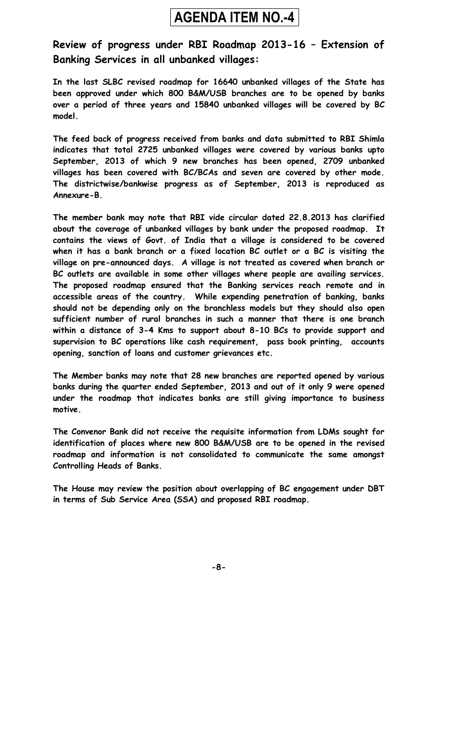## **AGENDA ITEM NO.-4**

#### **Review of progress under RBI Roadmap 2013-16 – Extension of Banking Services in all unbanked villages:**

**In the last SLBC revised roadmap for 16640 unbanked villages of the State has been approved under which 800 B&M/USB branches are to be opened by banks over a period of three years and 15840 unbanked villages will be covered by BC model.** 

**The feed back of progress received from banks and data submitted to RBI Shimla indicates that total 2725 unbanked villages were covered by various banks upto September, 2013 of which 9 new branches has been opened, 2709 unbanked villages has been covered with BC/BCAs and seven are covered by other mode. The districtwise/bankwise progress as of September, 2013 is reproduced as Annexure-B.**

**The member bank may note that RBI vide circular dated 22.8.2013 has clarified about the coverage of unbanked villages by bank under the proposed roadmap. It contains the views of Govt. of India that a village is considered to be covered when it has a bank branch or a fixed location BC outlet or a BC is visiting the village on pre-announced days. A village is not treated as covered when branch or BC outlets are available in some other villages where people are availing services. The proposed roadmap ensured that the Banking services reach remote and in accessible areas of the country. While expending penetration of banking, banks should not be depending only on the branchless models but they should also open sufficient number of rural branches in such a manner that there is one branch within a distance of 3-4 Kms to support about 8-10 BCs to provide support and supervision to BC operations like cash requirement, pass book printing, accounts opening, sanction of loans and customer grievances etc.** 

**The Member banks may note that 28 new branches are reported opened by various banks during the quarter ended September, 2013 and out of it only 9 were opened under the roadmap that indicates banks are still giving importance to business motive.** 

**The Convenor Bank did not receive the requisite information from LDMs sought for identification of places where new 800 B&M/USB are to be opened in the revised roadmap and information is not consolidated to communicate the same amongst Controlling Heads of Banks.** 

**The House may review the position about overlapping of BC engagement under DBT in terms of Sub Service Area (SSA) and proposed RBI roadmap.**

**-8-**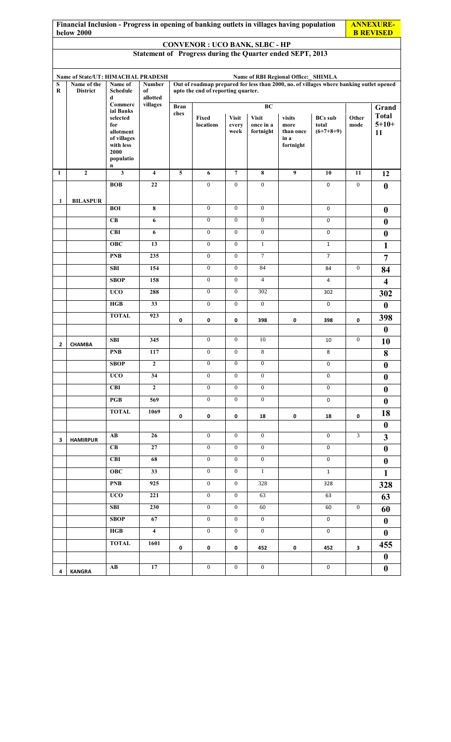|              | Financial Inclusion - Progress in opening of banking outlets in villages having population<br><b>below 2000</b> |                              |                         |                         |                                                           |                       |                           |                                      |                                                                                         |                  |                            |
|--------------|-----------------------------------------------------------------------------------------------------------------|------------------------------|-------------------------|-------------------------|-----------------------------------------------------------|-----------------------|---------------------------|--------------------------------------|-----------------------------------------------------------------------------------------|------------------|----------------------------|
|              |                                                                                                                 |                              |                         |                         | <b>CONVENOR : UCO BANK, SLBC - HP</b>                     |                       |                           |                                      |                                                                                         |                  |                            |
|              |                                                                                                                 |                              |                         |                         | Statement of Progress during the Quarter ended SEPT, 2013 |                       |                           |                                      |                                                                                         |                  |                            |
|              |                                                                                                                 |                              |                         |                         |                                                           |                       |                           |                                      |                                                                                         |                  |                            |
| S            | Name of State/UT: HIMACHAL PRADESH<br>Name of the                                                               | Name of                      | Number                  |                         |                                                           |                       |                           | Name of RBI Regional Office:_ SHIMLA | Out of roadmap prepared for less than 2000, no. of villages where banking outlet opened |                  |                            |
| $\bf{R}$     | <b>District</b>                                                                                                 | <b>Schedule</b><br>d         | of<br>allotted          |                         | upto the end of reporting quarter.                        |                       |                           |                                      |                                                                                         |                  |                            |
|              |                                                                                                                 | Commerc<br>ial Banks         | villages                | <b>Bran</b><br>ches     |                                                           |                       | BC                        |                                      |                                                                                         |                  | Grand                      |
|              |                                                                                                                 | selected<br>for              |                         |                         | Fixed<br>locations                                        | <b>Visit</b><br>every | <b>Visit</b><br>once in a | visits<br>more                       | <b>BCs</b> sub<br>total                                                                 | Other<br>mode    | <b>Total</b><br>$5 + 10 +$ |
|              |                                                                                                                 | allotment                    |                         |                         |                                                           | week                  | fortnight                 | than once<br>in a                    | $(6+7+8+9)$                                                                             |                  | 11                         |
|              |                                                                                                                 | of villages<br>with less     |                         |                         |                                                           |                       |                           | fortnight                            |                                                                                         |                  |                            |
|              |                                                                                                                 | 2000<br>populatio            |                         |                         |                                                           |                       |                           |                                      |                                                                                         |                  |                            |
| $\mathbf{1}$ | $\overline{2}$                                                                                                  | n<br>$\overline{\mathbf{3}}$ | $\overline{4}$          | $\overline{\mathbf{5}}$ | 6                                                         | $\overline{7}$        | 8                         | 9                                    | 10                                                                                      | 11               | 12                         |
|              |                                                                                                                 | <b>BOB</b>                   | 22                      |                         | $\overline{0}$                                            | $\mathbf{0}$          | $\mathbf{0}$              |                                      | 0                                                                                       | $\boldsymbol{0}$ | $\boldsymbol{0}$           |
|              |                                                                                                                 |                              |                         |                         |                                                           |                       |                           |                                      |                                                                                         |                  |                            |
| 1            | <b>BILASPUR</b>                                                                                                 | <b>BOI</b>                   | $\bf 8$                 |                         | $\overline{0}$                                            | $\mathbf{0}$          | $\mathbf{0}$              |                                      | 0                                                                                       |                  | $\boldsymbol{0}$           |
|              |                                                                                                                 | CB                           | 6                       |                         | $\overline{0}$                                            | $\overline{0}$        | $\overline{0}$            |                                      | $\mathbf 0$                                                                             |                  | $\boldsymbol{0}$           |
|              |                                                                                                                 | <b>CBI</b>                   | 6                       |                         | $\overline{0}$                                            | $\mathbf{0}$          | $\mathbf{0}$              |                                      | $\mathbf 0$                                                                             |                  | $\boldsymbol{0}$           |
|              |                                                                                                                 | <b>OBC</b>                   | 13                      |                         | $\mathbf{0}$                                              | $\overline{0}$        | $\overline{1}$            |                                      | $\mathbf{1}$                                                                            |                  | $\mathbf{1}$               |
|              |                                                                                                                 | <b>PNB</b>                   | 235                     |                         | $\overline{0}$                                            | $\mathbf{0}$          | $\overline{7}$            |                                      | $\overline{7}$                                                                          |                  | $\overline{7}$             |
|              |                                                                                                                 | <b>SBI</b>                   | 154                     |                         | $\overline{0}$                                            | $\mathbf{0}$          | 84                        |                                      | 84                                                                                      | $\boldsymbol{0}$ | 84                         |
|              |                                                                                                                 | <b>SBOP</b>                  | 158                     |                         | $\overline{0}$                                            | $\mathbf{0}$          | $\overline{4}$            |                                      | $\overline{4}$                                                                          |                  | $\overline{\mathbf{4}}$    |
|              |                                                                                                                 | <b>UCO</b>                   | 288                     |                         | $\overline{0}$                                            | $\mathbf{0}$          | 302                       |                                      | 302                                                                                     |                  | 302                        |
|              |                                                                                                                 | HGB                          | 33                      |                         | $\overline{0}$                                            | $\mathbf{0}$          | $\mathbf{0}$              |                                      | $\mathbf 0$                                                                             |                  | $\boldsymbol{0}$           |
|              |                                                                                                                 | <b>TOTAL</b>                 | 923                     | 0                       | 0                                                         | 0                     | 398                       | 0                                    | 398                                                                                     | 0                | 398                        |
|              |                                                                                                                 |                              |                         |                         |                                                           |                       |                           |                                      |                                                                                         |                  | $\boldsymbol{0}$           |
| 2            | <b>CHAMBA</b>                                                                                                   | <b>SBI</b>                   | 345                     |                         | $\boldsymbol{0}$                                          | $\boldsymbol{0}$      | 10                        |                                      | 10                                                                                      | $\boldsymbol{0}$ | 10                         |
|              |                                                                                                                 | <b>PNB</b>                   | 117                     |                         | $\overline{0}$                                            | $\overline{0}$        | $8\,$                     |                                      | 8                                                                                       |                  | 8                          |
|              |                                                                                                                 | <b>SBOP</b>                  | $\mathbf{2}$            |                         | $\overline{0}$                                            | $\overline{0}$        | $\mathbf{0}$              |                                      | $\mathbf 0$                                                                             |                  | $\boldsymbol{0}$           |
|              |                                                                                                                 | <b>UCO</b>                   | 34                      |                         | $\overline{0}$                                            | $\mathbf{0}$          | $\mathbf{0}$              |                                      | 0                                                                                       |                  | $\boldsymbol{0}$           |
|              |                                                                                                                 | <b>CBI</b>                   | $\overline{2}$          |                         | $\overline{0}$                                            | $\mathbf{0}$          | $\mathbf{0}$              |                                      | 0                                                                                       |                  | $\bf{0}$                   |
|              |                                                                                                                 | PGB                          | 569                     |                         | $\overline{0}$                                            | $\mathbf{0}$          | $\mathbf{0}$              |                                      | 0                                                                                       |                  | $\bf{0}$                   |
|              |                                                                                                                 | <b>TOTAL</b>                 | 1069                    | 0                       | 0                                                         | 0                     | 18                        | 0                                    | 18                                                                                      | 0                | 18                         |
|              |                                                                                                                 |                              |                         |                         |                                                           |                       |                           |                                      |                                                                                         |                  | $\boldsymbol{0}$           |
| 3            | <b>HAMIRPUR</b>                                                                                                 | $\mathbf{A}\mathbf{B}$       | 26                      |                         | $\overline{0}$                                            | $\overline{0}$        | $\overline{0}$            |                                      | $\mathbf 0$                                                                             | $\overline{3}$   | $\mathbf{3}$               |
|              |                                                                                                                 | <b>CB</b>                    | 27                      |                         | $\overline{0}$                                            | $\overline{0}$        | $\mathbf{0}$              |                                      | 0                                                                                       |                  | $\boldsymbol{0}$           |
|              |                                                                                                                 | <b>CBI</b>                   | 68                      |                         | $\overline{0}$                                            | $\mathbf{0}$          | $\boldsymbol{0}$          |                                      | $\mathsf 0$                                                                             |                  | $\boldsymbol{0}$           |
|              |                                                                                                                 | <b>OBC</b>                   | 33                      |                         | $\overline{0}$                                            | $\mathbf{0}$          | $\mathbf{1}$              |                                      | $\mathbf{1}$                                                                            |                  | $\mathbf{1}$               |
|              |                                                                                                                 | <b>PNB</b>                   | 925                     |                         | $\overline{0}$                                            | $\mathbf{0}$          | 328                       |                                      | 328                                                                                     |                  | 328                        |
|              |                                                                                                                 | <b>UCO</b>                   | 221                     |                         | $\overline{0}$                                            | $\mathbf{0}$          | 63                        |                                      | 63                                                                                      |                  | 63                         |
|              |                                                                                                                 | <b>SBI</b>                   | 230                     |                         | $\overline{0}$                                            | $\overline{0}$        | 60                        |                                      | 60                                                                                      | $\overline{0}$   | 60                         |
|              |                                                                                                                 | <b>SBOP</b>                  | 67                      |                         | $\overline{0}$                                            | $\mathbf{0}$          | $\mathbf{0}$              |                                      | $\mathbf 0$                                                                             |                  | $\boldsymbol{0}$           |
|              |                                                                                                                 | HGB                          | $\overline{\mathbf{4}}$ |                         | $\overline{0}$                                            | $\overline{0}$        | $\mathbf{0}$              |                                      | $\mathbf 0$                                                                             |                  | $\bf{0}$                   |
|              |                                                                                                                 | <b>TOTAL</b>                 | 1601                    | 0                       | 0                                                         | 0                     | 452                       | 0                                    | 452                                                                                     | 3                | 455                        |
|              |                                                                                                                 |                              |                         |                         |                                                           |                       |                           |                                      |                                                                                         |                  | $\boldsymbol{0}$           |
| 4            | <b>KANGRA</b>                                                                                                   | $\mathbf{A}\mathbf{B}$       | 17                      |                         | $\overline{0}$                                            | $\overline{0}$        | $\mathbf{0}$              |                                      | $\mathbf 0$                                                                             |                  | $\boldsymbol{0}$           |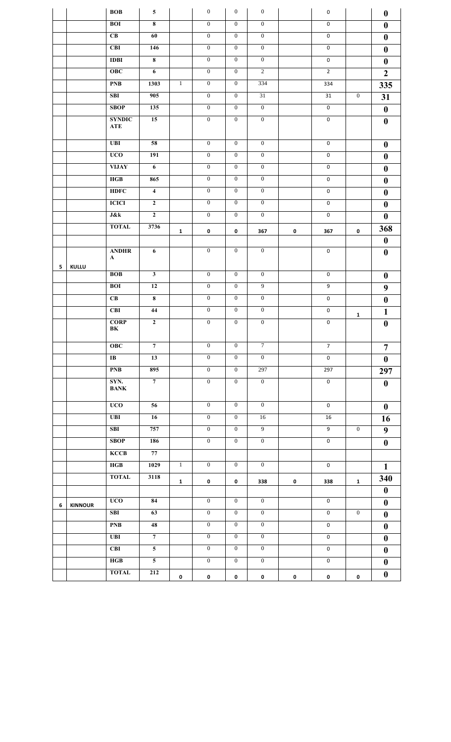|   |                | <b>BOB</b>                  | 5                       |              | $\mathbf{0}$     | $\mathbf{0}$     | $\boldsymbol{0}$ |             | $\mathbf 0$    |                | $\boldsymbol{0}$ |
|---|----------------|-----------------------------|-------------------------|--------------|------------------|------------------|------------------|-------------|----------------|----------------|------------------|
|   |                | <b>BOI</b>                  | 8                       |              | $\overline{0}$   | $\mathbf{0}$     | $\overline{0}$   |             | $\mathbf 0$    |                | $\boldsymbol{0}$ |
|   |                | CB                          | 60                      |              | $\overline{0}$   | $\mathbf{0}$     | $\mathbf{0}$     |             | $\mathbf 0$    |                | $\boldsymbol{0}$ |
|   |                | <b>CBI</b>                  | 146                     |              | $\boldsymbol{0}$ | $\mathbf{0}$     | $\boldsymbol{0}$ |             | $\mathbf 0$    |                | $\bf{0}$         |
|   |                | <b>IDBI</b>                 | $\overline{\mathbf{8}}$ |              | $\overline{0}$   | $\overline{0}$   | $\overline{0}$   |             | $\mathbf 0$    |                | $\boldsymbol{0}$ |
|   |                | <b>OBC</b>                  | $\overline{6}$          |              | $\mathbf{0}$     | $\mathbf{0}$     | $\overline{2}$   |             | $\overline{2}$ |                | $\overline{2}$   |
|   |                | <b>PNB</b>                  | 1303                    | $\mathbf{1}$ | $\overline{0}$   | $\mathbf{0}$     | 334              |             | 334            |                | 335              |
|   |                | <b>SBI</b>                  | 905                     |              | $\mathbf{0}$     | $\overline{0}$   | 31               |             | 31             | $\overline{0}$ | 31               |
|   |                | SBOP                        | 135                     |              | $\mathbf{0}$     | $\mathbf{0}$     | $\overline{0}$   |             | $\mathbf 0$    |                | $\boldsymbol{0}$ |
|   |                | <b>SYNDIC</b><br><b>ATE</b> | 15                      |              | $\overline{0}$   | $\mathbf{0}$     | $\mathbf{0}$     |             | $\mathbf 0$    |                | $\boldsymbol{0}$ |
|   |                | UBI                         | 58                      |              | $\overline{0}$   | $\overline{0}$   | $\overline{0}$   |             | $\mathbf 0$    |                | $\boldsymbol{0}$ |
|   |                | <b>UCO</b>                  | 191                     |              | $\overline{0}$   | $\mathbf{0}$     | $\mathbf{0}$     |             | $\mathbf 0$    |                | $\boldsymbol{0}$ |
|   |                | <b>VIJAY</b>                | 6                       |              | $\boldsymbol{0}$ | $\mathbf{0}$     | $\mathbf{0}$     |             | $\mathsf 0$    |                | $\boldsymbol{0}$ |
|   |                | HGB                         | 865                     |              | $\overline{0}$   | $\overline{0}$   | $\overline{0}$   |             | 0              |                | $\boldsymbol{0}$ |
|   |                | <b>HDFC</b>                 | $\overline{4}$          |              | $\overline{0}$   | $\overline{0}$   | $\overline{0}$   |             | $\mathbf 0$    |                | $\boldsymbol{0}$ |
|   |                | <b>ICICI</b>                | $\overline{2}$          |              | $\overline{0}$   | $\mathbf{0}$     | $\overline{0}$   |             | $\mathbf 0$    |                | $\boldsymbol{0}$ |
|   |                | J&k                         | $\mathbf{2}$            |              | $\boldsymbol{0}$ | $\mathbf{0}$     | $\overline{0}$   |             | $\mathbf 0$    |                | $\boldsymbol{0}$ |
|   |                | <b>TOTAL</b>                | 3736                    | $\mathbf{1}$ | 0                | 0                | 367              | $\pmb{0}$   | 367            | 0              | 368              |
|   |                |                             |                         |              |                  |                  |                  |             |                |                | $\boldsymbol{0}$ |
| 5 | KULLU          | <b>ANDHR</b><br>A           | 6                       |              | $\mathbf{0}$     | $\mathbf{0}$     | $\boldsymbol{0}$ |             | $\mathbf 0$    |                | $\boldsymbol{0}$ |
|   |                | <b>BOB</b>                  | 3 <sup>1</sup>          |              | $\mathbf{0}$     | $\mathbf{0}$     | $\mathbf{0}$     |             | 0              |                | $\boldsymbol{0}$ |
|   |                | BOI                         | 12                      |              | $\boldsymbol{0}$ | $\mathbf{0}$     | $\overline{9}$   |             | $\overline{9}$ |                | $\boldsymbol{9}$ |
|   |                | CB                          | $\overline{\bf 8}$      |              | $\overline{0}$   | $\overline{0}$   | $\overline{0}$   |             | $\mathbf 0$    |                | $\boldsymbol{0}$ |
|   |                | <b>CBI</b>                  | 44                      |              | $\mathbf{0}$     | $\mathbf{0}$     | $\mathbf{0}$     |             | $\mathbf 0$    | 1              | $\mathbf{1}$     |
|   |                | <b>CORP</b><br>BK           | $\overline{2}$          |              | $\overline{0}$   | $\mathbf{0}$     | $\mathbf{0}$     |             | $\mathbf 0$    |                | $\boldsymbol{0}$ |
|   |                | <b>OBC</b>                  | $7\overline{ }$         |              | $\overline{0}$   | $\mathbf{0}$     | $\tau$           |             | $\overline{7}$ |                | $\overline{7}$   |
|   |                | $\bf{IB}$                   | 13                      |              | $\boldsymbol{0}$ | $\overline{0}$   | $\overline{0}$   |             | $\overline{0}$ |                | $\boldsymbol{0}$ |
|   |                | <b>PNB</b>                  | 895                     |              | $\boldsymbol{0}$ | $\overline{0}$   | 297              |             | 297            |                | 297              |
|   |                | SYN.<br><b>BANK</b>         | $\overline{7}$          |              | $\overline{0}$   | $\overline{0}$   | $\overline{0}$   |             | $\mathbf 0$    |                | $\boldsymbol{0}$ |
|   |                | $\overline{UCO}$            | 56                      |              | $\mathbf{0}$     | $\boldsymbol{0}$ | $\mathbf{0}$     |             | $\mathbf 0$    |                | $\boldsymbol{0}$ |
|   |                | <b>UBI</b>                  | 16                      |              | $\overline{0}$   | $\overline{0}$   | 16               |             | 16             |                | 16               |
|   |                | <b>SBI</b>                  | 757                     |              | $\boldsymbol{0}$ | $\overline{0}$   | $\overline{9}$   |             | $\overline{9}$ | $\mathbf{0}$   | $\boldsymbol{9}$ |
|   |                | <b>SBOP</b>                 | 186                     |              | $\boldsymbol{0}$ | $\overline{0}$   | $\overline{0}$   |             | $\mathbf 0$    |                | $\boldsymbol{0}$ |
|   |                | KCCB                        | 77                      |              |                  |                  |                  |             |                |                |                  |
|   |                | HGB                         | 1029                    | $\mathbf{1}$ | $\boldsymbol{0}$ | $\mathbf{0}$     | $\overline{0}$   |             | $\mathsf 0$    |                | $\mathbf{1}$     |
|   |                | <b>TOTAL</b>                | 3118                    | $\mathbf{1}$ | $\mathbf 0$      | $\pmb{0}$        | 338              | 0           | 338            | $\mathbf{1}$   | 340              |
|   |                |                             |                         |              |                  |                  |                  |             |                |                | $\boldsymbol{0}$ |
| 6 | <b>KINNOUR</b> | <b>UCO</b>                  | 84                      |              | $\overline{0}$   | $\overline{0}$   | $\overline{0}$   |             | $\mathbf 0$    |                | $\boldsymbol{0}$ |
|   |                | <b>SBI</b>                  | 63                      |              | $\overline{0}$   | $\mathbf{0}$     | $\overline{0}$   |             | $\mathbf 0$    | $\overline{0}$ | $\boldsymbol{0}$ |
|   |                | <b>PNB</b>                  | 48                      |              | $\boldsymbol{0}$ | $\boldsymbol{0}$ | $\overline{0}$   |             | $\mathbf 0$    |                | $\boldsymbol{0}$ |
|   |                | <b>UBI</b>                  | $\overline{7}$          |              | $\overline{0}$   | $\overline{0}$   | $\overline{0}$   |             | $\mathbf 0$    |                | $\boldsymbol{0}$ |
|   |                | CBI                         | $\overline{5}$          |              | $\overline{0}$   | $\overline{0}$   | $\overline{0}$   |             | $\mathbf 0$    |                | $\boldsymbol{0}$ |
|   |                | HGB                         | $\overline{5}$          |              | $\overline{0}$   | $\boldsymbol{0}$ | $\overline{0}$   |             | $\mathbf 0$    |                | $\boldsymbol{0}$ |
|   |                | <b>TOTAL</b>                | ${\bf 212}$             | $\pmb{0}$    | $\pmb{0}$        | $\mathbf 0$      | $\pmb{0}$        | $\mathbf 0$ | $\pmb{0}$      | $\mathbf 0$    | $\boldsymbol{0}$ |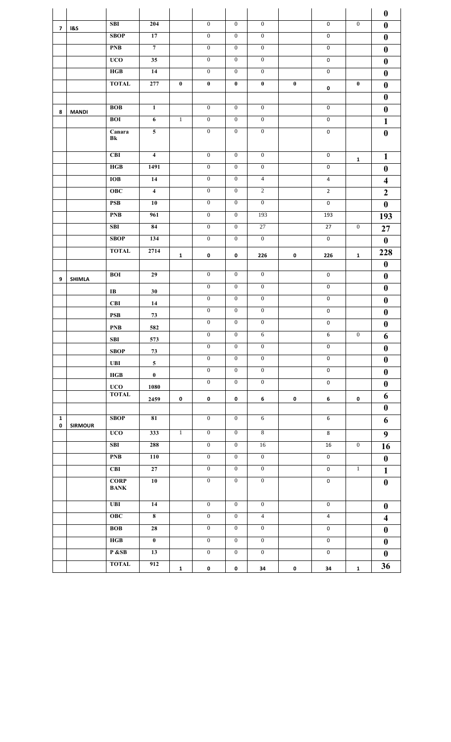|                   |                |                                     |                         |              |                  |                  |                  |             |                         |                  | $\boldsymbol{0}$        |
|-------------------|----------------|-------------------------------------|-------------------------|--------------|------------------|------------------|------------------|-------------|-------------------------|------------------|-------------------------|
| 7                 | <b>1&amp;S</b> | <b>SBI</b>                          | 204                     |              | $\mathbf{0}$     | $\overline{0}$   | $\overline{0}$   |             | $\pmb{0}$               | $\mathbf{0}$     | $\boldsymbol{0}$        |
|                   |                | <b>SBOP</b>                         | 17                      |              | $\mathbf{0}$     | $\mathbf{0}$     | $\mathbf{0}$     |             | $\mathsf 0$             |                  | $\boldsymbol{0}$        |
|                   |                | <b>PNB</b>                          | $\overline{7}$          |              | $\mathbf{0}$     | $\mathbf{0}$     | $\mathbf{0}$     |             | 0                       |                  | $\boldsymbol{0}$        |
|                   |                | <b>UCO</b>                          | $\overline{35}$         |              | $\overline{0}$   | $\overline{0}$   | $\overline{0}$   |             | $\mathbf 0$             |                  | $\boldsymbol{0}$        |
|                   |                | HGB                                 | 14                      |              | $\boldsymbol{0}$ | $\boldsymbol{0}$ | $\boldsymbol{0}$ |             | 0                       |                  | $\boldsymbol{0}$        |
|                   |                | <b>TOTAL</b>                        | 277                     | $\pmb{0}$    | $\boldsymbol{0}$ | $\pmb{0}$        | $\bf{0}$         | $\bf{0}$    | 0                       | $\boldsymbol{0}$ | $\boldsymbol{0}$        |
|                   |                |                                     |                         |              |                  |                  |                  |             |                         |                  | $\boldsymbol{0}$        |
| 8                 | <b>MANDI</b>   | <b>BOB</b>                          | $\mathbf{1}$            |              | $\boldsymbol{0}$ | $\mathbf{0}$     | $\mathbf{0}$     |             | $\mathsf{O}\phantom{0}$ |                  | $\boldsymbol{0}$        |
|                   |                | <b>BOI</b>                          | $\boldsymbol{6}$        | $\mathbf{1}$ | $\boldsymbol{0}$ | $\mathbf{0}$     | $\boldsymbol{0}$ |             | $\mathbf 0$             |                  | $\mathbf{1}$            |
|                   |                | $\overline{\mathbf{C}}$ anara<br>Bk | $5\phantom{.0}$         |              | $\mathbf{0}$     | $\mathbf{0}$     | $\mathbf{0}$     |             | $\mathbf 0$             |                  | $\boldsymbol{0}$        |
|                   |                | CBI                                 | $\overline{\mathbf{4}}$ |              | $\boldsymbol{0}$ | $\mathbf{0}$     | $\boldsymbol{0}$ |             | $\mathbf 0$             | $\mathbf{1}$     | $\mathbf{1}$            |
|                   |                | HGB                                 | 1491                    |              | $\overline{0}$   | $\mathbf{0}$     | $\mathbf{0}$     |             | 0                       |                  | $\boldsymbol{0}$        |
|                   |                | <b>IOB</b>                          | 14                      |              | $\overline{0}$   | $\overline{0}$   | $\overline{4}$   |             | 4                       |                  | $\overline{\mathbf{4}}$ |
|                   |                | <b>OBC</b>                          | $\overline{\mathbf{4}}$ |              | $\boldsymbol{0}$ | $\boldsymbol{0}$ | $\overline{2}$   |             | $\overline{2}$          |                  | $\boldsymbol{2}$        |
|                   |                | <b>PSB</b>                          | 10                      |              | $\mathbf{0}$     | $\mathbf{0}$     | $\mathbf{0}$     |             | $\mathbf 0$             |                  | $\boldsymbol{0}$        |
|                   |                | <b>PNB</b>                          | 961                     |              | $\mathbf{0}$     | $\mathbf{0}$     | 193              |             | 193                     |                  | 193                     |
|                   |                | SBI                                 | 84                      |              | $\boldsymbol{0}$ | $\mathbf{0}$     | 27               |             | 27                      | $\mathbf{0}$     | 27                      |
|                   |                | <b>SBOP</b>                         | 134                     |              | $\mathbf{0}$     | $\mathbf{0}$     | $\mathbf{0}$     |             | $\mathsf 0$             |                  | $\boldsymbol{0}$        |
|                   |                | <b>TOTAL</b>                        | 2714                    | $\mathbf{1}$ | 0                | 0                | 226              | 0           | 226                     | $\mathbf{1}$     | 228                     |
|                   |                |                                     |                         |              |                  |                  |                  |             |                         |                  | $\boldsymbol{0}$        |
| 9                 | <b>SHIMLA</b>  | <b>BOI</b>                          | 29                      |              | $\mathbf{0}$     | $\mathbf{0}$     | $\boldsymbol{0}$ |             | $\mathbf 0$             |                  | $\boldsymbol{0}$        |
|                   |                | IB                                  | 30                      |              | $\mathbf{0}$     | $\mathbf{0}$     | $\mathbf{0}$     |             | $\mathbf 0$             |                  | $\boldsymbol{0}$        |
|                   |                | <b>CBI</b>                          | 14                      |              | $\mathbf{0}$     | $\mathbf{0}$     | $\mathbf{0}$     |             | $\mathbf 0$             |                  | $\boldsymbol{0}$        |
|                   |                | $\mathbf{PSB}$                      | 73                      |              | $\boldsymbol{0}$ | $\boldsymbol{0}$ | $\boldsymbol{0}$ |             | $\mathsf 0$             |                  | $\boldsymbol{0}$        |
|                   |                | <b>PNB</b>                          | 582                     |              | $\boldsymbol{0}$ | $\mathbf{0}$     | $\boldsymbol{0}$ |             | $\mathsf 0$             |                  | $\boldsymbol{0}$        |
|                   |                | <b>SBI</b>                          | 573                     |              | $\boldsymbol{0}$ | $\boldsymbol{0}$ | $\sqrt{6}$       |             | 6                       | $\boldsymbol{0}$ | 6                       |
|                   |                | <b>SBOP</b>                         | 73                      |              | $\mathbf{0}$     | $\mathbf{0}$     | $\mathbf{0}$     |             | $\mathbf 0$             |                  | $\boldsymbol{0}$        |
|                   |                | <b>UBI</b>                          | 5 <sup>5</sup>          |              | $\mathbf{0}$     | $\overline{0}$   | $\mathbf{0}$     |             | $\mathbf 0$             |                  | $\boldsymbol{0}$        |
|                   |                | HGB                                 | $\mathbf{0}$            |              | $\overline{0}$   | $\overline{0}$   | $\overline{0}$   |             | $\mathbf 0$             |                  | $\boldsymbol{0}$        |
|                   |                | <b>UCO</b>                          | 1080                    |              | $\mathbf{0}$     | $\overline{0}$   | $\overline{0}$   |             | $\mathbf 0$             |                  | $\boldsymbol{0}$        |
|                   |                | <b>TOTAL</b>                        | 2459                    | $\pmb{0}$    | $\pmb{0}$        | $\pmb{0}$        | 6                | 0           | 6                       | 0                | 6                       |
|                   |                |                                     |                         |              |                  |                  |                  |             |                         |                  | $\boldsymbol{0}$        |
| $\mathbf{1}$<br>0 | <b>SIRMOUR</b> | <b>SBOP</b>                         | 81                      |              | $\mathbf{0}$     | $\mathbf{0}$     | 6                |             | $\,6\,$                 |                  | 6                       |
|                   |                | <b>UCO</b>                          | 333                     | $\mathbf{1}$ | $\overline{0}$   | $\mathbf{0}$     | $\overline{8}$   |             | 8                       |                  | $\boldsymbol{9}$        |
|                   |                | <b>SBI</b>                          | 288                     |              | $\overline{0}$   | $\mathbf{0}$     | 16               |             | 16                      | $\mathbf{0}$     | 16                      |
|                   |                | <b>PNB</b>                          | 110                     |              | $\mathbf{0}$     | $\mathbf{0}$     | $\mathbf{0}$     |             | 0                       |                  | $\boldsymbol{0}$        |
|                   |                | <b>CBI</b>                          | 27                      |              | $\boldsymbol{0}$ | $\mathbf{0}$     | $\overline{0}$   |             | $\mathbf 0$             | $\mathbf{1}$     | $\mathbf{1}$            |
|                   |                | <b>CORP</b><br><b>BANK</b>          | 10                      |              | $\overline{0}$   | $\overline{0}$   | $\overline{0}$   |             | $\mathbf 0$             |                  | $\boldsymbol{0}$        |
|                   |                | <b>UBI</b>                          | 14                      |              | $\mathbf{0}$     | $\mathbf{0}$     | $\boldsymbol{0}$ |             | 0                       |                  | $\bf{0}$                |
|                   |                | <b>OBC</b>                          | $\overline{\mathbf{8}}$ |              | $\overline{0}$   | $\mathbf{0}$     | $\overline{4}$   |             | $\overline{4}$          |                  | $\overline{\mathbf{4}}$ |
|                   |                | <b>BOB</b>                          | 28                      |              | $\mathbf{0}$     | $\mathbf{0}$     | $\mathbf{0}$     |             | $\mathbf 0$             |                  | $\boldsymbol{0}$        |
|                   |                | HGB                                 | $\mathbf{0}^-$          |              | $\overline{0}$   | $\mathbf{0}$     | $\mathbf{0}$     |             | $\mathsf{O}\phantom{0}$ |                  | $\boldsymbol{0}$        |
|                   |                | P &SB                               | 13                      |              | $\overline{0}$   | $\overline{0}$   | $\overline{0}$   |             | 0                       |                  | $\boldsymbol{0}$        |
|                   |                | <b>TOTAL</b>                        | 912                     | $\mathbf{1}$ | $\mathbf 0$      | $\mathbf 0$      | 34               | $\mathbf 0$ | 34                      | $\mathbf{1}$     | 36                      |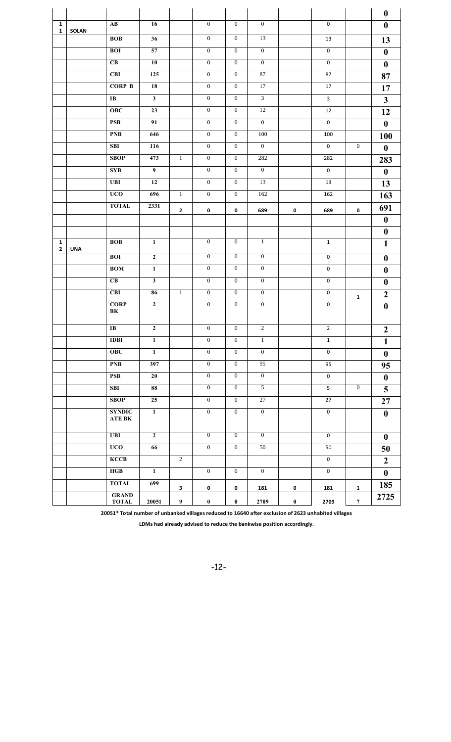|                              |              |                                         |                         |                |                  |                  |                  |          |                         |                  | $\boldsymbol{0}$ |
|------------------------------|--------------|-----------------------------------------|-------------------------|----------------|------------------|------------------|------------------|----------|-------------------------|------------------|------------------|
| $\mathbf{1}$<br>$\mathbf{1}$ | <b>SOLAN</b> | $\mathbf{A}\mathbf{B}$                  | 16                      |                | $\overline{0}$   | $\mathbf{0}$     | $\mathbf{0}$     |          | 0                       |                  | $\boldsymbol{0}$ |
|                              |              | <b>BOB</b>                              | 36                      |                | $\overline{0}$   | $\mathbf{0}$     | 13               |          | 13                      |                  | 13               |
|                              |              | <b>BOI</b>                              | 57                      |                | $\mathbf{0}$     | $\mathbf{0}$     | $\mathbf{0}$     |          | 0                       |                  | $\boldsymbol{0}$ |
|                              |              | $\overline{\text{CB}}$                  | 10                      |                | $\boldsymbol{0}$ | $\mathbf{0}$     | $\mathbf{0}$     |          | $\overline{\mathbf{0}}$ |                  | $\boldsymbol{0}$ |
|                              |              | <b>CBI</b>                              | 125                     |                | $\overline{0}$   | $\overline{0}$   | 87               |          | 87                      |                  | 87               |
|                              |              | <b>CORP B</b>                           | 18                      |                | $\mathbf{0}$     | $\overline{0}$   | 17               |          | 17                      |                  | 17               |
|                              |              | $\bf IB$                                | $\overline{\mathbf{3}}$ |                | $\mathbf{0}$     | $\mathbf{0}$     | $\overline{3}$   |          | $\overline{\mathbf{3}}$ |                  | $\mathbf{3}$     |
|                              |              | OBC                                     | 23                      |                | $\overline{0}$   | $\overline{0}$   | 12               |          | 12                      |                  | 12               |
|                              |              | <b>PSB</b>                              | 91                      |                | $\mathbf{0}$     | $\mathbf{0}$     | $\overline{0}$   |          | $\mathbf 0$             |                  | $\boldsymbol{0}$ |
|                              |              | <b>PNB</b>                              | 646                     |                | $\overline{0}$   | $\overline{0}$   | 100              |          | 100                     |                  | 100              |
|                              |              | <b>SBI</b>                              | 116                     |                | $\boldsymbol{0}$ | $\mathbf{0}$     | $\mathbf{0}$     |          | $\mathbf 0$             | $\boldsymbol{0}$ | $\boldsymbol{0}$ |
|                              |              | <b>SBOP</b>                             | 473                     | $\mathbf{1}$   | $\mathbf{0}$     | $\mathbf{0}$     | 282              |          | 282                     |                  | 283              |
|                              |              | <b>SYB</b>                              | $\overline{9}$          |                | $\overline{0}$   | $\overline{0}$   | $\overline{0}$   |          | $\mathbf 0$             |                  | $\boldsymbol{0}$ |
|                              |              | <b>UBI</b>                              | 12                      |                | $\overline{0}$   | $\overline{0}$   | 13               |          | 13                      |                  | 13               |
|                              |              | <b>UCO</b>                              | 696                     | $\mathbf{1}$   | $\boldsymbol{0}$ | $\boldsymbol{0}$ | 162              |          | 162                     |                  | 163              |
|                              |              | <b>TOTAL</b>                            | 2331                    | $\mathbf{2}$   | 0                | $\pmb{0}$        | 689              | 0        | 689                     | 0                | 691              |
|                              |              |                                         |                         |                |                  |                  |                  |          |                         |                  | $\boldsymbol{0}$ |
|                              |              |                                         |                         |                |                  |                  |                  |          |                         |                  | $\boldsymbol{0}$ |
| $\mathbf{1}$<br>$\mathbf{2}$ | <b>UNA</b>   | <b>BOB</b>                              | $\mathbf 1$             |                | $\overline{0}$   | $\mathbf{0}$     | $\mathbf{1}$     |          | $\mathbf{1}$            |                  | $\mathbf{1}$     |
|                              |              | <b>BOI</b>                              | $\overline{2}$          |                | $\mathbf{0}$     | $\mathbf{0}$     | $\mathbf{0}$     |          | $\pmb{0}$               |                  | $\boldsymbol{0}$ |
|                              |              | <b>BOM</b>                              | $\mathbf 1$             |                | $\overline{0}$   | $\mathbf{0}$     | $\mathbf{0}$     |          | $\pmb{0}$               |                  | $\boldsymbol{0}$ |
|                              |              | CB                                      | $\overline{\mathbf{3}}$ |                | $\overline{0}$   | $\mathbf{0}$     | $\mathbf{0}$     |          | 0                       |                  | $\boldsymbol{0}$ |
|                              |              | CBI                                     | 86                      | $\mathbf{1}$   | $\overline{0}$   | $\mathbf{0}$     | $\overline{0}$   |          | $\mathbf 0$             | $\mathbf{1}$     | $\boldsymbol{2}$ |
|                              |              | <b>CORP</b><br>BK                       | $\mathbf{2}$            |                | $\boldsymbol{0}$ | $\boldsymbol{0}$ | $\boldsymbol{0}$ |          | $\mathbf 0$             |                  | $\boldsymbol{0}$ |
|                              |              | $\bf IB$                                | $\mathbf{2}$            |                | $\boldsymbol{0}$ | $\mathbf{0}$     | $\sqrt{2}$       |          | $\overline{2}$          |                  | $\boldsymbol{2}$ |
|                              |              | <b>IDBI</b>                             | $\mathbf{1}$            |                | $\boldsymbol{0}$ | $\boldsymbol{0}$ | 1                |          | $\mathbf{1}$            |                  | $\mathbf{1}$     |
|                              |              | <b>OBC</b>                              | $\mathbf{1}$            |                | $\mathbf{0}$     | $\mathbf{0}$     | $\mathbf{0}$     |          | $\mathbf 0$             |                  | $\boldsymbol{0}$ |
|                              |              | <b>PNB</b>                              | 397                     |                | $\overline{0}$   | $\overline{0}$   | $\overline{95}$  |          | 95                      |                  | 95               |
|                              |              | <b>PSB</b>                              | 20                      |                | $\mathbf{0}$     | $\mathbf{0}$     | $\overline{0}$   |          | $\mathbf 0$             |                  | $\boldsymbol{0}$ |
|                              |              | <b>SBI</b>                              | 88                      |                | $\mathbf{0}$     | $\overline{0}$   | 5 <sup>5</sup>   |          | 5                       | $\mathbf{0}$     | 5                |
|                              |              | <b>SBOP</b>                             | 25                      |                | $\overline{0}$   | $\overline{0}$   | $\overline{27}$  |          | 27                      |                  | 27               |
|                              |              | <b>SYNDIC</b><br>${\bf ATE}$ ${\bf BK}$ | $\mathbf{1}$            |                | $\overline{0}$   | $\overline{0}$   | $\overline{0}$   |          | $\mathbf 0$             |                  | $\bf{0}$         |
|                              |              | <b>UBI</b>                              | $\mathbf{2}$            |                | $\overline{0}$   | $\overline{0}$   | $\overline{0}$   |          | $\mathbf 0$             |                  | $\boldsymbol{0}$ |
|                              |              | <b>UCO</b>                              | 66                      |                | $\mathbf{0}$     | $\overline{0}$   | 50               |          | 50                      |                  | 50               |
|                              |              | <b>KCCB</b>                             |                         | $\overline{2}$ |                  |                  |                  |          | $\mathbf 0$             |                  | $\overline{2}$   |
|                              |              | HGB                                     | $\mathbf{1}$            |                | $\overline{0}$   | $\mathbf{0}$     | $\overline{0}$   |          | $\mathbf 0$             |                  | $\boldsymbol{0}$ |
|                              |              | <b>TOTAL</b>                            | 699                     | $\mathbf{3}$   | $\pmb{0}$        | $\pmb{0}$        | 181              | 0        | 181                     | $\mathbf{1}$     | 185              |
|                              |              | <b>GRAND</b><br><b>TOTAL</b>            | 20051                   | 9              | $\mathbf 0$      | $\bf{0}$         | 2709             | $\bf{0}$ | 2709                    | $\boldsymbol{7}$ | 2725             |

**20051\* Total number of unbanked villages reduced to 16640 after exclusion of 2623 unhabited villages**

**LDMs had already advised to reduce the bankwise position accordingly.**

-12-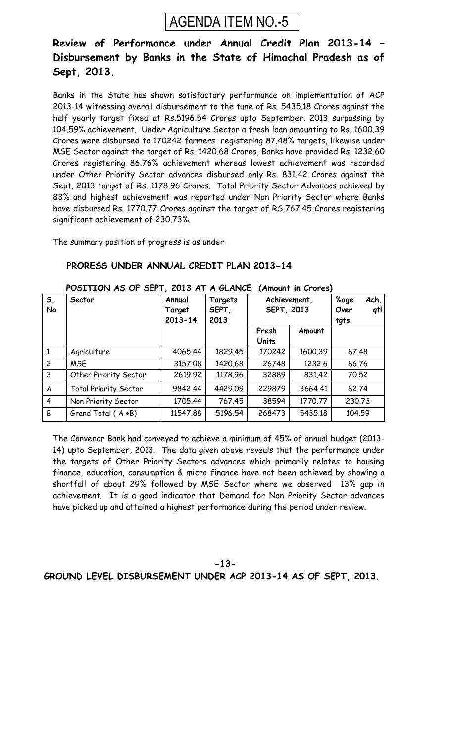

### **Review of Performance under Annual Credit Plan 2013-14 – Disbursement by Banks in the State of Himachal Pradesh as of Sept, 2013.**

Banks in the State has shown satisfactory performance on implementation of ACP 2013-14 witnessing overall disbursement to the tune of Rs. 5435.18 Crores against the half yearly target fixed at Rs.5196.54 Crores upto September, 2013 surpassing by 104.59% achievement. Under Agriculture Sector a fresh loan amounting to Rs. 1600.39 Crores were disbursed to 170242 farmers registering 87.48% targets, likewise under MSE Sector against the target of Rs. 1420.68 Crores, Banks have provided Rs. 1232.60 Crores registering 86.76% achievement whereas lowest achievement was recorded under Other Priority Sector advances disbursed only Rs. 831.42 Crores against the Sept, 2013 target of Rs. 1178.96 Crores. Total Priority Sector Advances achieved by 83% and highest achievement was reported under Non Priority Sector where Banks have disbursed Rs. 1770.77 Crores against the target of RS.767.45 Crores registering significant achievement of 230.73%.

The summary position of progress is as under

#### **PRORESS UNDER ANNUAL CREDIT PLAN 2013-14**

| S <sub>1</sub><br>No | Sector                       | Annual<br>Target<br>$2013 - 14$ | Targets<br>SEPT,<br>2013 | Achievement,<br><b>SEPT, 2013</b> |         | Ach.<br><b>%age</b><br>qtl<br>Over<br>tgts |
|----------------------|------------------------------|---------------------------------|--------------------------|-----------------------------------|---------|--------------------------------------------|
|                      |                              |                                 |                          | Fresh<br>Amount                   |         |                                            |
|                      |                              |                                 |                          | <b>Units</b>                      |         |                                            |
| $\mathbf{1}$         | Agriculture                  | 4065.44                         | 1829.45                  | 170242                            | 1600.39 | 87.48                                      |
| $\overline{c}$       | <b>MSE</b>                   | 3157.08                         | 1420.68                  | 26748                             | 1232.6  | 86.76                                      |
| $\overline{3}$       | Other Priority Sector        | 2619.92                         | 1178.96                  | 32889                             | 831.42  | 70.52                                      |
| A                    | <b>Total Priority Sector</b> | 9842.44                         | 4429.09                  | 229879                            | 3664.41 | 82.74                                      |
| $\overline{4}$       | Non Priority Sector          | 1705.44                         | 767.45                   | 38594                             | 1770.77 | 230.73                                     |
| B                    | Grand Total (A+B)            | 11547.88                        | 5196.54                  | 268473                            | 5435.18 | 104.59                                     |

#### **POSITION AS OF SEPT, 2013 AT A GLANCE (Amount in Crores)**

The Convenor Bank had conveyed to achieve a minimum of 45% of annual budget (2013- 14) upto September, 2013. The data given above reveals that the performance under the targets of Other Priority Sectors advances which primarily relates to housing finance, education, consumption & micro finance have not been achieved by showing a shortfall of about 29% followed by MSE Sector where we observed 13% gap in achievement. It is a good indicator that Demand for Non Priority Sector advances have picked up and attained a highest performance during the period under review.

#### **-13- GROUND LEVEL DISBURSEMENT UNDER ACP 2013-14 AS OF SEPT, 2013.**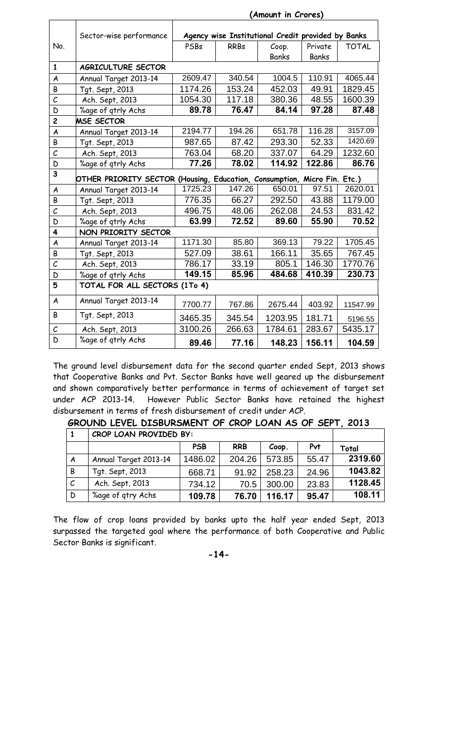|                       | Sector-wise performance                                                  |         |             | Agency wise Institutional Credit provided by Banks |         |              |
|-----------------------|--------------------------------------------------------------------------|---------|-------------|----------------------------------------------------|---------|--------------|
| No.                   |                                                                          | PSBs    | <b>RRBs</b> | Coop.                                              | Private | <b>TOTAL</b> |
|                       |                                                                          |         |             | <b>Banks</b>                                       | Banks   |              |
| $\mathbf{1}$          | AGRICULTURE SECTOR                                                       |         |             |                                                    |         |              |
| A                     | Annual Target 2013-14                                                    | 2609.47 | 340.54      | $\overline{1}004.5$                                | 110.91  | 4065.44      |
| B                     | Tgt. Sept, 2013                                                          | 1174.26 | 153.24      | 452.03                                             | 49.91   | 1829.45      |
| $\mathcal{C}_{0}$     | Ach. Sept, 2013                                                          | 1054.30 | 117.18      | 380.36                                             | 48.55   | 1600.39      |
| D                     | %age of gtrly Achs                                                       | 89.78   | 76.47       | 84.14                                              | 97.28   | 87.48        |
| $\overline{c}$        | <b>MSE SECTOR</b>                                                        |         |             |                                                    |         |              |
| A                     | Annual Target 2013-14                                                    | 2194.77 | 194.26      | 651.78                                             | 116.28  | 3157.09      |
| B                     | Tgt. Sept, 2013                                                          | 987.65  | 87.42       | 293.30                                             | 52.33   | 1420.69      |
| $\mathcal{C}_{0}^{2}$ | Ach. Sept, 2013                                                          | 763.04  | 68.20       | 337.07                                             | 64.29   | 1232.60      |
| D                     | %age of gtrly Achs                                                       | 77.26   | 78.02       | 114.92                                             | 122.86  | 86.76        |
| 3                     | OTHER PRIORITY SECTOR (Housing, Education, Consumption, Micro Fin. Etc.) |         |             |                                                    |         |              |
| A                     | Annual Target 2013-14                                                    | 1725.23 | 147.26      | 650.01                                             | 97.51   | 2620.01      |
| B                     | Tgt. Sept, 2013                                                          | 776.35  | 66.27       | 292.50                                             | 43.88   | 1179.00      |
| $\mathcal{C}_{0}^{2}$ | Ach. Sept, 2013                                                          | 496.75  | 48.06       | 262.08                                             | 24.53   | 831.42       |
| D                     | %age of qtrly Achs                                                       | 63.99   | 72.52       | 89.60                                              | 55.90   | 70.52        |
| 4                     | NON PRIORITY SECTOR                                                      |         |             |                                                    |         |              |
| A                     | Annual Target 2013-14                                                    | 1171.30 | 85.80       | 369.13                                             | 79.22   | 1705.45      |
| B                     | Tgt. Sept, 2013                                                          | 527.09  | 38.61       | 166.11                                             | 35.65   | 767.45       |
| $\mathcal{C}_{0}$     | Ach. Sept, 2013                                                          | 786.17  | 33.19       | 805.1                                              | 146.30  | 1770.76      |
| D                     | %age of gtrly Achs                                                       | 149.15  | 85.96       | 484.68                                             | 410.39  | 230.73       |
| 5                     | TOTAL FOR ALL SECTORS (1To 4)                                            |         |             |                                                    |         |              |
| $\boldsymbol{A}$      | Annual Target 2013-14                                                    | 7700.77 | 767.86      | 2675.44                                            | 403.92  | 11547.99     |
| B                     | Tgt. Sept, 2013                                                          | 3465.35 | 345.54      | 1203.95                                            | 181.71  | 5196.55      |
| $\mathcal C$          | Ach. Sept, 2013                                                          | 3100.26 | 266.63      | 1784.61                                            | 283.67  | 5435.17      |
| D                     | %age of gtrly Achs                                                       | 89.46   | 77.16       | 148.23                                             | 156.11  | 104.59       |

 **(Amount in Crores)**

The ground level disbursement data for the second quarter ended Sept, 2013 shows that Cooperative Banks and Pvt. Sector Banks have well geared up the disbursement and shown comparatively better performance in terms of achievement of target set under ACP 2013-14. However Public Sector Banks have retained the highest disbursement in terms of fresh disbursement of credit under ACP.

|               | CROP LOAN PROVIDED BY: |            |            |        |       |         |
|---------------|------------------------|------------|------------|--------|-------|---------|
|               |                        | <b>PSB</b> | <b>RRB</b> | Coop.  | Pvt   | Total   |
| A             | Annual Target 2013-14  | 1486.02    | 204.26     | 573.85 | 55.47 | 2319.60 |
| B             | Tgt. Sept, 2013        | 668.71     | 91.92      | 258.23 | 24.96 | 1043.82 |
| $\mathcal{C}$ | Ach. Sept, 2013        | 734.12     | 70.5       | 300.00 | 23.83 | 1128.45 |
| $\mathsf D$   | %age of qtry Achs      | 109.78     | 76.70      | 116.17 | 95.47 | 108.11  |

**GROUND LEVEL DISBURSMENT OF CROP LOAN AS OF SEPT, 2013**

The flow of crop loans provided by banks upto the half year ended Sept, 2013 surpassed the targeted goal where the performance of both Cooperative and Public Sector Banks is significant.

**-14-**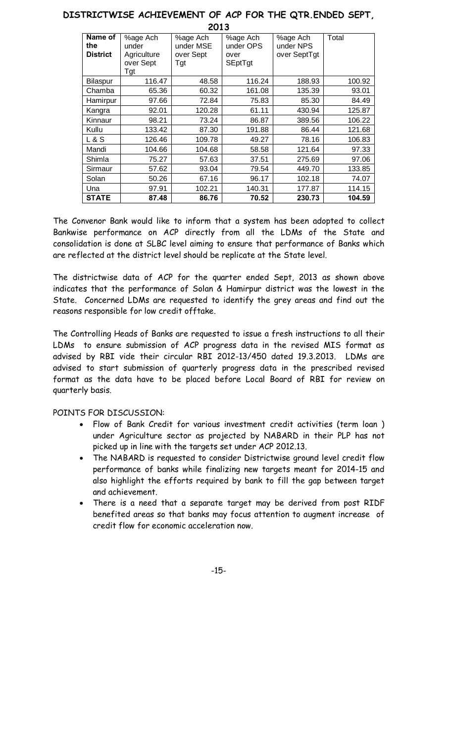| LUIJ            |             |           |           |              |        |  |  |  |  |  |  |
|-----------------|-------------|-----------|-----------|--------------|--------|--|--|--|--|--|--|
| Name of         | %age Ach    | %age Ach  | %age Ach  | %age Ach     | Total  |  |  |  |  |  |  |
| the             | under       | under MSE | under OPS | under NPS    |        |  |  |  |  |  |  |
| <b>District</b> | Agriculture | over Sept | over      | over SeptTgt |        |  |  |  |  |  |  |
|                 | over Sept   | Tgt       | SEptTgt   |              |        |  |  |  |  |  |  |
|                 | Tgt         |           |           |              |        |  |  |  |  |  |  |
| Bilaspur        | 116.47      | 48.58     | 116.24    | 188.93       | 100.92 |  |  |  |  |  |  |
| Chamba          | 65.36       | 60.32     | 161.08    | 135.39       | 93.01  |  |  |  |  |  |  |
| Hamirpur        | 97.66       | 72.84     | 75.83     | 85.30        | 84.49  |  |  |  |  |  |  |
| Kangra          | 92.01       | 120.28    | 61.11     | 430.94       | 125.87 |  |  |  |  |  |  |
| Kinnaur         | 98.21       | 73.24     | 86.87     | 389.56       | 106.22 |  |  |  |  |  |  |
| Kullu           | 133.42      | 87.30     | 191.88    | 86.44        | 121.68 |  |  |  |  |  |  |
| <b>L&amp;S</b>  | 126.46      | 109.78    | 49.27     | 78.16        | 106.83 |  |  |  |  |  |  |
| Mandi           | 104.66      | 104.68    | 58.58     | 121.64       | 97.33  |  |  |  |  |  |  |
| Shimla          | 75.27       | 57.63     | 37.51     | 275.69       | 97.06  |  |  |  |  |  |  |
| Sirmaur         | 57.62       | 93.04     | 79.54     | 449.70       | 133.85 |  |  |  |  |  |  |
| Solan           | 50.26       | 67.16     | 96.17     | 102.18       | 74.07  |  |  |  |  |  |  |
| Una             | 97.91       | 102.21    | 140.31    | 177.87       | 114.15 |  |  |  |  |  |  |
| <b>STATE</b>    | 87.48       | 86.76     | 70.52     | 230.73       | 104.59 |  |  |  |  |  |  |

#### **DISTRICTWISE ACHIEVEMENT OF ACP FOR THE QTR.ENDED SEPT, 2013**

The Convenor Bank would like to inform that a system has been adopted to collect Bankwise performance on ACP directly from all the LDMs of the State and consolidation is done at SLBC level aiming to ensure that performance of Banks which are reflected at the district level should be replicate at the State level.

The districtwise data of ACP for the quarter ended Sept, 2013 as shown above indicates that the performance of Solan & Hamirpur district was the lowest in the State. Concerned LDMs are requested to identify the grey areas and find out the reasons responsible for low credit offtake.

The Controlling Heads of Banks are requested to issue a fresh instructions to all their LDMs to ensure submission of ACP progress data in the revised MIS format as advised by RBI vide their circular RBI 2012-13/450 dated 19.3.2013. LDMs are advised to start submission of quarterly progress data in the prescribed revised format as the data have to be placed before Local Board of RBI for review on quarterly basis.

#### POINTS FOR DISCUSSION:

- Flow of Bank Credit for various investment credit activities (term loan) under Agriculture sector as projected by NABARD in their PLP has not picked up in line with the targets set under ACP 2012.13.
- · The NABARD is requested to consider Districtwise ground level credit flow performance of banks while finalizing new targets meant for 2014-15 and also highlight the efforts required by bank to fill the gap between target and achievement.
- · There is a need that a separate target may be derived from post RIDF benefited areas so that banks may focus attention to augment increase of credit flow for economic acceleration now.

-15-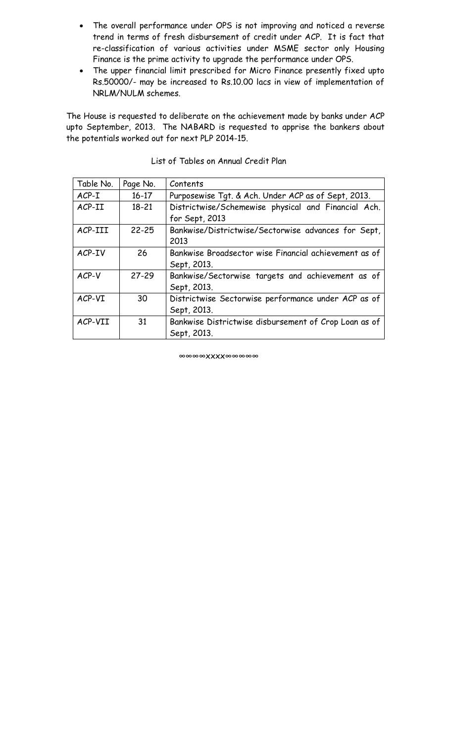- · The overall performance under OPS is not improving and noticed a reverse trend in terms of fresh disbursement of credit under ACP. It is fact that re-classification of various activities under MSME sector only Housing Finance is the prime activity to upgrade the performance under OPS.
- · The upper financial limit prescribed for Micro Finance presently fixed upto Rs.50000/- may be increased to Rs.10.00 lacs in view of implementation of NRLM/NULM schemes.

The House is requested to deliberate on the achievement made by banks under ACP upto September, 2013. The NABARD is requested to apprise the bankers about the potentials worked out for next PLP 2014-15.

| Table No. | Page No.  | Contents                                              |
|-----------|-----------|-------------------------------------------------------|
| $ACP-I$   | $16 - 17$ | Purposewise Tqt. & Ach. Under ACP as of Sept, 2013.   |
| ACP-II    | $18 - 21$ | Districtwise/Schemewise physical and Financial Ach.   |
|           |           | for Sept, 2013                                        |
| ACP-III   | $22 - 25$ | Bankwise/Districtwise/Sectorwise advances for Sept,   |
|           |           | 2013                                                  |
| ACP-IV    | 26        | Bankwise Broadsector wise Financial achievement as of |
|           |           | Sept, 2013.                                           |
| ACP-V     | $27 - 29$ | Bankwise/Sectorwise targets and achievement as of     |
|           |           | Sept, 2013.                                           |
| ACP-VI    | 30        | Districtwise Sectorwise performance under ACP as of   |
|           |           | Sept, 2013.                                           |
| ACP-VII   | 31        | Bankwise Districtwise disbursement of Crop Loan as of |
|           |           | Sept, 2013.                                           |

#### List of Tables on Annual Credit Plan

∞∞∞∞xxxx∞∞∞∞∞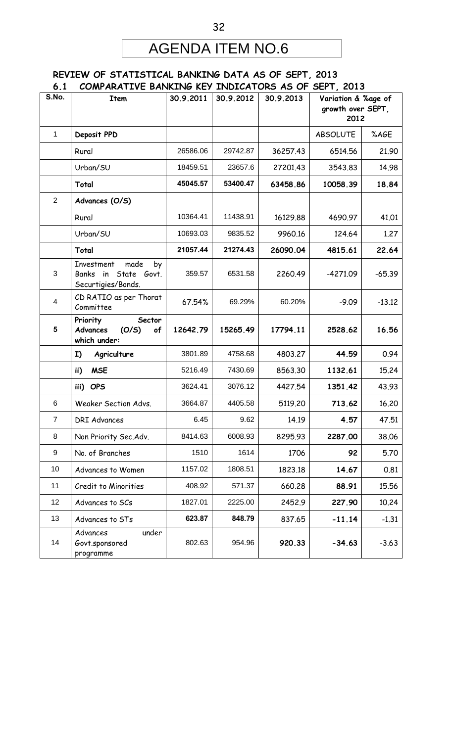## AGENDA ITEM NO.6

#### **REVIEW OF STATISTICAL BANKING DATA AS OF SEPT, 2013 6.1 COMPARATIVE BANKING KEY INDICATORS AS OF SEPT, 2013**

| ◡.▴<br>S.No.   | COM ANAILLE DAINLING NET<br><b>Item</b>                                   | 30.9.2011 | 30.9.2012 | <b>INVISATORY AS OF</b><br>30.9.2013 | נגטא , ו וטכ<br>Variation & %age of |          |
|----------------|---------------------------------------------------------------------------|-----------|-----------|--------------------------------------|-------------------------------------|----------|
|                |                                                                           |           |           |                                      | growth over SEPT,                   |          |
|                |                                                                           |           |           |                                      | 2012                                |          |
| 1              | Deposit PPD                                                               |           |           |                                      | <b>ABSOLUTE</b>                     | %AGE     |
|                | Rural                                                                     | 26586.06  | 29742.87  | 36257.43                             | 6514.56                             | 21.90    |
|                | Urban/SU                                                                  | 18459.51  | 23657.6   | 27201.43                             | 3543.83                             | 14.98    |
|                | Total                                                                     | 45045.57  | 53400.47  | 63458.86                             | 10058.39                            | 18.84    |
| $\overline{2}$ | Advances (O/S)                                                            |           |           |                                      |                                     |          |
|                | Rural                                                                     | 10364.41  | 11438.91  | 16129.88                             | 4690.97                             | 41.01    |
|                | Urban/SU                                                                  | 10693.03  | 9835.52   | 9960.16                              | 124.64                              | 1.27     |
|                | Total                                                                     | 21057.44  | 21274.43  | 26090.04                             | 4815.61                             | 22.64    |
| 3              | Investment<br>made<br>by<br>in State Govt.<br>Banks<br>Securtigies/Bonds. | 359.57    | 6531.58   | 2260.49                              | -4271.09                            | $-65.39$ |
| 4              | CD RATIO as per Thorat<br>Committee                                       | 67.54%    | 69.29%    | 60.20%                               | $-9.09$                             | $-13.12$ |
| 5              | Priority<br>Sector<br>Advances<br>(O/S)<br>of<br>which under:             | 12642.79  | 15265.49  | 17794.11                             | 2528.62                             | 16.56    |
|                | Agriculture<br>I)                                                         | 3801.89   | 4758.68   | 4803.27                              | 44.59                               | 0.94     |
|                | <b>MSE</b><br>ii)                                                         | 5216.49   | 7430.69   | 8563.30                              | 1132.61                             | 15.24    |
|                | iii) OPS                                                                  | 3624.41   | 3076.12   | 4427.54                              | 1351.42                             | 43.93    |
| 6              | Weaker Section Advs.                                                      | 3664.87   | 4405.58   | 5119.20                              | 713.62                              | 16,20    |
| $\overline{7}$ | <b>DRI Advances</b>                                                       | 6.45      | 9.62      | 14.19                                | 4.57                                | 47.51    |
| 8              | Non Priority Sec.Adv.                                                     | 8414.63   | 6008.93   | 8295.93                              | 2287.00                             | 38.06    |
| 9              | No. of Branches                                                           | 1510      | 1614      | 1706                                 | 92                                  | 5.70     |
| 10             | Advances to Women                                                         | 1157.02   | 1808.51   | 1823.18                              | 14.67                               | 0.81     |
| 11             | Credit to Minorities                                                      | 408.92    | 571.37    | 660.28                               | 88.91                               | 15.56    |
| 12             | Advances to SCs                                                           | 1827.01   | 2225.00   | 2452.9                               | 227.90                              | 10.24    |
| 13             | Advances to STs                                                           | 623.87    | 848.79    | 837.65                               | $-11.14$                            | $-1.31$  |
| 14             | under<br>Advances<br>Govt.sponsored<br>programme                          | 802.63    | 954.96    | 920.33                               | $-34.63$                            | $-3.63$  |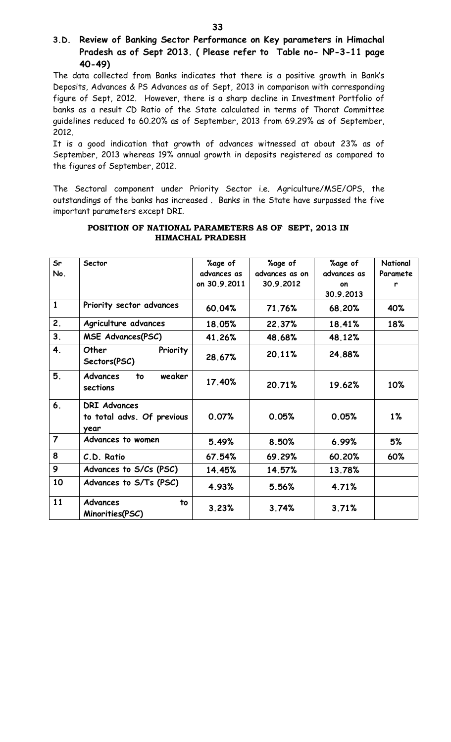#### **3.D. Review of Banking Sector Performance on Key parameters in Himachal Pradesh as of Sept 2013. ( Please refer to Table no- NP-3-11 page 40-49)**

The data collected from Banks indicates that there is a positive growth in Bank's Deposits, Advances & PS Advances as of Sept, 2013 in comparison with corresponding figure of Sept, 2012. However, there is a sharp decline in Investment Portfolio of banks as a result CD Ratio of the State calculated in terms of Thorat Committee guidelines reduced to 60.20% as of September, 2013 from 69.29% as of September, 2012.

It is a good indication that growth of advances witnessed at about 23% as of September, 2013 whereas 19% annual growth in deposits registered as compared to the figures of September, 2012.

The Sectoral component under Priority Sector i.e. Agriculture/MSE/OPS, the outstandings of the banks has increased . Banks in the State have surpassed the five important parameters except DRI.

| Sr             | Sector                                                    | <b>%age of</b> | <b>%age of</b> | %age of     | National |
|----------------|-----------------------------------------------------------|----------------|----------------|-------------|----------|
| No.            |                                                           | advances as    | advances as on | advances as | Paramete |
|                |                                                           | on 30.9.2011   | 30.9.2012      | on          | r        |
|                |                                                           |                |                | 30.9.2013   |          |
| $\mathbf{1}$   | Priority sector advances                                  | 60.04%         | 71.76%         | 68.20%      | 40%      |
| 2.             | Agriculture advances                                      | 18.05%         | 22.37%         | 18.41%      | 18%      |
| 3.             | <b>MSE Advances(PSC)</b>                                  | 41.26%         | 48.68%         | 48.12%      |          |
| 4.             | Priority<br>Other<br>Sectors(PSC)                         | 28.67%         | 20.11%         | 24.88%      |          |
| 5.             | <b>Advances</b><br>weaker<br>to<br>sections               | 17.40%         | 20.71%         | 19.62%      | 10%      |
| 6.             | <b>DRI Advances</b><br>to total advs. Of previous<br>year | 0.07%          | 0.05%          | 0.05%       | $1\%$    |
| $\overline{7}$ | Advances to women                                         | 5.49%          | 8.50%          | 6.99%       | 5%       |
| 8              | C.D. Ratio                                                | 67.54%         | 69.29%         | 60.20%      | 60%      |
| 9              | Advances to S/Cs (PSC)                                    | 14.45%         | 14.57%         | 13.78%      |          |
| 10             | Advances to S/Ts (PSC)                                    | 4.93%          | 5.56%          | 4.71%       |          |
| 11             | <b>Advances</b><br>to<br>Minorities(PSC)                  | 3.23%          | 3.74%          | 3.71%       |          |

#### **POSITION OF NATIONAL PARAMETERS AS OF SEPT, 2013 IN HIMACHAL PRADESH**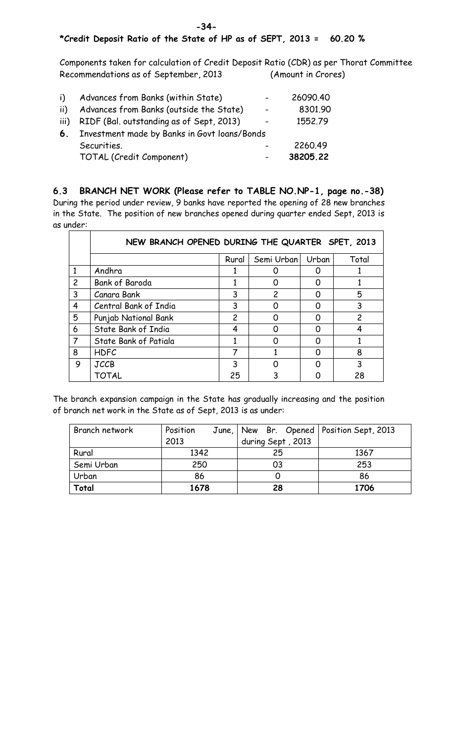#### **\*Credit Deposit Ratio of the State of HP as of SEPT, 2013 = 60.20 %**

Components taken for calculation of Credit Deposit Ratio (CDR) as per Thorat Committee Recommendations as of September, 2013 (Amount in Crores)

| i)   | Advances from Banks (within State)           |                          | 26090.40 |
|------|----------------------------------------------|--------------------------|----------|
| ii)  | Advances from Banks (outside the State)      | $\overline{\phantom{0}}$ | 8301.90  |
| iii) | RIDF (Bal. outstanding as of Sept, 2013)     |                          | 1552.79  |
| 6.   | Investment made by Banks in Govt loans/Bonds |                          |          |
|      | Securities.                                  |                          | 2260.49  |
|      | TOTAL (Credit Component)                     |                          | 38205.22 |

**6.3 BRANCH NET WORK (Please refer to TABLE NO.NP-1, page no.-38)** During the period under review, 9 banks have reported the opening of 28 new branches in the State. The position of new branches opened during quarter ended Sept, 2013 is as under:

|                | NEW BRANCH OPENED DURING THE QUARTER SPET, 2013 |                |            |       |       |  |
|----------------|-------------------------------------------------|----------------|------------|-------|-------|--|
|                |                                                 | Rural          | Semi Urban | Urban | Total |  |
| $\mathbf{1}$   | Andhra                                          |                |            |       |       |  |
| $\overline{c}$ | <b>Bank of Baroda</b>                           |                |            |       |       |  |
| 3              | Canara Bank                                     | 3              | 2          |       | 5     |  |
| 4              | Central Bank of India                           | 3              |            |       |       |  |
| 5              | Punjab National Bank                            | $\overline{c}$ |            |       | 2     |  |
| 6              | State Bank of India                             | 4              |            |       |       |  |
| $\overline{7}$ | State Bank of Patiala                           |                |            |       |       |  |
| 8              | <b>HDFC</b>                                     | 7              |            |       | 8     |  |
| 9              | <b>JCCB</b>                                     | 3              |            |       | 3     |  |
|                | TOTAL                                           | 25             |            |       | 28    |  |

The branch expansion campaign in the State has gradually increasing and the position of branch net work in the State as of Sept, 2013 is as under:

| Branch network | Position | June,   New Br. Opened   Position Sept, 2013 |      |
|----------------|----------|----------------------------------------------|------|
|                | 2013     | during Sept, 2013                            |      |
| Rural          | 1342     | 25                                           | 1367 |
| Semi Urban     | 250      | 03                                           | 253  |
| Urban          | 86       |                                              | 86   |
| Total          | 1678     | 28                                           | 1706 |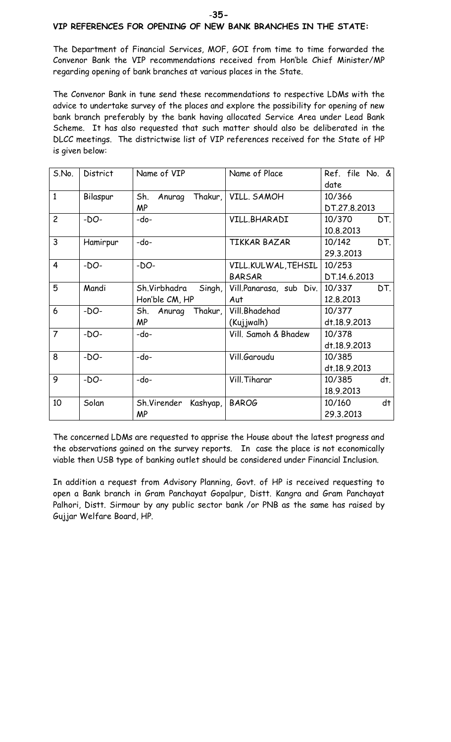#### **VIP REFERENCES FOR OPENING OF NEW BANK BRANCHES IN THE STATE:**

The Department of Financial Services, MOF, GOI from time to time forwarded the Convenor Bank the VIP recommendations received from Hon'ble Chief Minister/MP regarding opening of bank branches at various places in the State.

The Convenor Bank in tune send these recommendations to respective LDMs with the advice to undertake survey of the places and explore the possibility for opening of new bank branch preferably by the bank having allocated Service Area under Lead Bank Scheme. It has also requested that such matter should also be deliberated in the DLCC meetings. The districtwise list of VIP references received for the State of HP is given below:

| S.No.          | <b>District</b> | Name of VIP              | Name of Place           | Ref. file No. & |
|----------------|-----------------|--------------------------|-------------------------|-----------------|
|                |                 |                          |                         | date            |
| $\mathbf{1}$   | Bilaspur        | Sh.<br>Thakur,<br>Anurag | VILL. SAMOH             | 10/366          |
|                |                 | <b>MP</b>                |                         | DT.27.8.2013    |
| $\overline{c}$ | $-DO-$          | -do-                     | VILL.BHARADI            | 10/370<br>DT.   |
|                |                 |                          |                         | 10.8.2013       |
| $\overline{3}$ | Hamirpur        | -do-                     | <b>TIKKAR BAZAR</b>     | DT.<br>10/142   |
|                |                 |                          |                         | 29.3.2013       |
| $\overline{4}$ | $-DO-$          | $-DO-$                   | VILL.KULWAL, TEHSIL     | 10/253          |
|                |                 |                          | <b>BARSAR</b>           | DT.14.6.2013    |
| 5              | Mandi           | Sh.Virbhadra<br>Singh,   | Vill.Panarasa, sub Div. | 10/337<br>DT.   |
|                |                 | Hon'ble CM, HP           | Aut                     | 12.8.2013       |
| 6              | $-DO-$          | Sh.<br>Thakur,<br>Anurag | Vill.Bhadehad           | 10/377          |
|                |                 | <b>MP</b>                | (Kujjwalh)              | dt.18.9.2013    |
| $\overline{7}$ | $-DO-$          | -do-                     | Vill. Samoh & Bhadew    | 10/378          |
|                |                 |                          |                         | dt.18.9.2013    |
| 8              | $-DO-$          | -do-                     | Vill.Garoudu            | 10/385          |
|                |                 |                          |                         | dt.18.9.2013    |
| 9              | $-DO-$          | -do-                     | Vill. Tiharar           | dt.<br>10/385   |
|                |                 |                          |                         | 18.9.2013       |
| 10             | Solan           | Sh.Virender<br>Kashyap,  | <b>BAROG</b>            | dt<br>10/160    |
|                |                 | <b>MP</b>                |                         | 29.3.2013       |

The concerned LDMs are requested to apprise the House about the latest progress and the observations gained on the survey reports. In case the place is not economically viable then USB type of banking outlet should be considered under Financial Inclusion.

In addition a request from Advisory Planning, Govt. of HP is received requesting to open a Bank branch in Gram Panchayat Gopalpur, Distt. Kangra and Gram Panchayat Palhori, Distt. Sirmour by any public sector bank /or PNB as the same has raised by Gujjar Welfare Board, HP.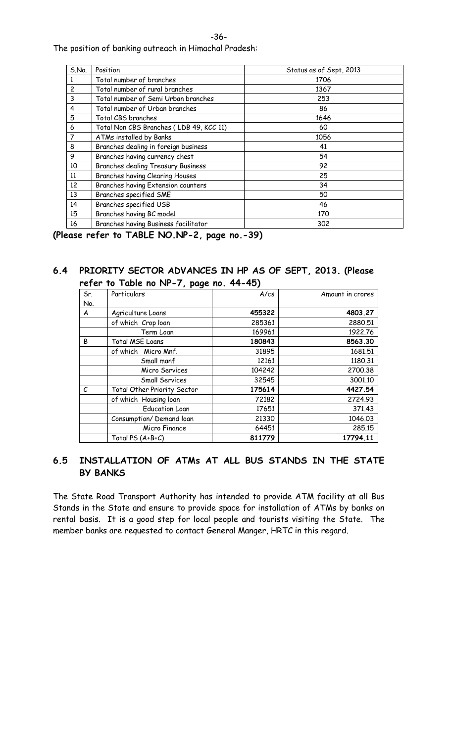The position of banking outreach in Himachal Pradesh:

| S.No.          | Position                                | Status as of Sept, 2013 |
|----------------|-----------------------------------------|-------------------------|
|                | Total number of branches                | 1706                    |
| $\overline{c}$ | Total number of rural branches          | 1367                    |
| 3              | Total number of Semi Urban branches     | 253                     |
| 4              | Total number of Urban branches          | 86                      |
| 5              | Total CBS branches                      | 1646                    |
| 6              | Total Non CBS Branches (LDB 49, KCC 11) | 60                      |
| $\overline{7}$ | ATMs installed by Banks                 | 1056                    |
| 8              | Branches dealing in foreign business    | 41                      |
| 9              | Branches having currency chest          | 54                      |
| 10             | Branches dealing Treasury Business      | 92                      |
| 11             | Branches having Clearing Houses         | 25                      |
| 12             | Branches having Extension counters      | 34                      |
| 13             | Branches specified SME                  | 50                      |
| 14             | Branches specified USB                  | 46                      |
| 15             | Branches having BC model                | 170                     |
| 16             | Branches having Business facilitator    | 302                     |

**(Please refer to TABLE NO.NP-2, page no.-39)**

#### **6.4 PRIORITY SECTOR ADVANCES IN HP AS OF SEPT, 2013. (Please refer to Table no NP-7, page no. 44-45)**

| --- | 10 . abio 110 . 11 pago 110. 07 |        |                  |
|-----|---------------------------------|--------|------------------|
| Sr. | Particulars                     | A/cs   | Amount in crores |
| No. |                                 |        |                  |
| A   | Agriculture Loans               | 455322 | 4803.27          |
|     | of which Crop loan              | 285361 | 2880.51          |
|     | Term Loan                       | 169961 | 1922.76          |
| B   | Total MSE Loans                 | 180843 | 8563.30          |
|     | of which Micro Mnf.             | 31895  | 1681.51          |
|     | Small manf                      | 12161  | 1180.31          |
|     | Micro Services                  | 104242 | 2700.38          |
|     | Small Services                  | 32545  | 3001.10          |
| C   | Total Other Priority Sector     | 175614 | 4427.54          |
|     | of which Housing loan           | 72182  | 2724.93          |
|     | <b>Education Loan</b>           | 17651  | 371.43           |
|     | Consumption/Demand loan         | 21330  | 1046.03          |
|     | Micro Finance                   | 64451  | 285.15           |
|     | Total PS (A+B+C)                | 811779 | 17794.11         |

#### **6.5 INSTALLATION OF ATMs AT ALL BUS STANDS IN THE STATE BY BANKS**

The State Road Transport Authority has intended to provide ATM facility at all Bus Stands in the State and ensure to provide space for installation of ATMs by banks on rental basis. It is a good step for local people and tourists visiting the State. The member banks are requested to contact General Manger, HRTC in this regard.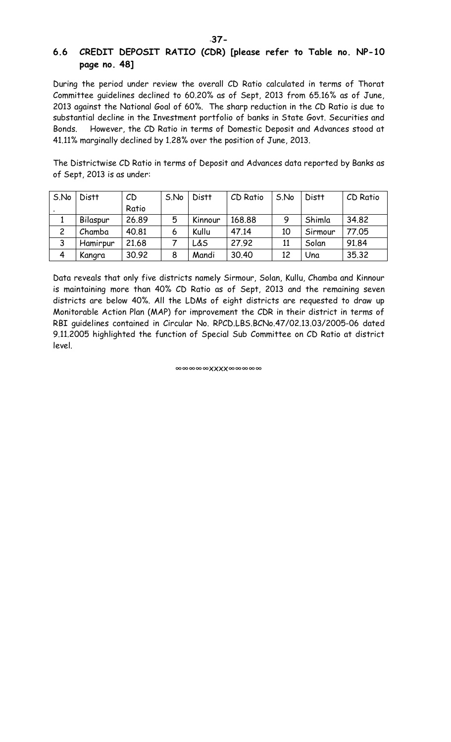#### **6.6 CREDIT DEPOSIT RATIO (CDR) [please refer to Table no. NP-10 page no. 48]**

During the period under review the overall CD Ratio calculated in terms of Thorat Committee guidelines declined to 60.20% as of Sept, 2013 from 65.16% as of June, 2013 against the National Goal of 60%. The sharp reduction in the CD Ratio is due to substantial decline in the Investment portfolio of banks in State Govt. Securities and Bonds. However, the CD Ratio in terms of Domestic Deposit and Advances stood at 41.11% marginally declined by 1.28% over the position of June, 2013.

The Districtwise CD Ratio in terms of Deposit and Advances data reported by Banks as of Sept, 2013 is as under:

| S.No           | <b>Distt</b> | CD    | S.No | Distt   | CD Ratio | S.No | Distt   | CD Ratio |
|----------------|--------------|-------|------|---------|----------|------|---------|----------|
|                |              | Ratio |      |         |          |      |         |          |
|                | Bilaspur     | 26.89 | 5    | Kinnour | 168.88   | 9    | Shimla  | 34.82    |
| $\overline{2}$ | Chamba       | 40.81 | 6    | Kullu   | 47.14    | 10   | Sirmour | 77.05    |
| 3              | Hamirpur     | 21.68 |      | L&S     | 27.92    | 11   | Solan   | 91.84    |
| 4              | Kangra       | 30.92 | 8    | Mandi   | 30.40    | 12   | Una     | 35.32    |

Data reveals that only five districts namely Sirmour, Solan, Kullu, Chamba and Kinnour is maintaining more than 40% CD Ratio as of Sept, 2013 and the remaining seven districts are below 40%. All the LDMs of eight districts are requested to draw up Monitorable Action Plan (MAP) for improvement the CDR in their district in terms of RBI guidelines contained in Circular No. RPCD.LBS.BCNo.47/02.13.03/2005-06 dated 9.11.2005 highlighted the function of Special Sub Committee on CD Ratio at district level.

∞∞∞∞∞xxxx∞∞∞∞∞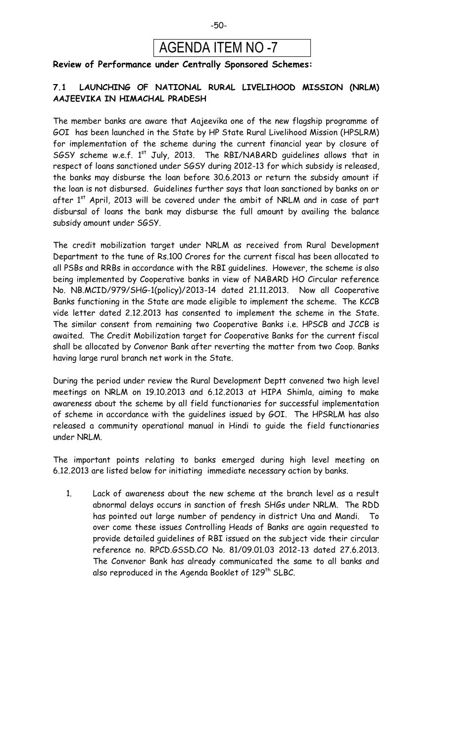

#### **Review of Performance under Centrally Sponsored Schemes:**

#### **7.1 LAUNCHING OF NATIONAL RURAL LIVELIHOOD MISSION (NRLM) AAJEEVIKA IN HIMACHAL PRADESH**

The member banks are aware that Aajeevika one of the new flagship programme of GOI has been launched in the State by HP State Rural Livelihood Mission (HPSLRM) for implementation of the scheme during the current financial year by closure of SGSY scheme w.e.f.  $1^{st}$  July, 2013. The RBI/NABARD quidelines allows that in respect of loans sanctioned under SGSY during 2012-13 for which subsidy is released, the banks may disburse the loan before 30.6.2013 or return the subsidy amount if the loan is not disbursed. Guidelines further says that loan sanctioned by banks on or after  $1<sup>st</sup>$  April, 2013 will be covered under the ambit of NRLM and in case of part disbursal of loans the bank may disburse the full amount by availing the balance subsidy amount under SGSY.

The credit mobilization target under NRLM as received from Rural Development Department to the tune of Rs.100 Crores for the current fiscal has been allocated to all PSBs and RRBs in accordance with the RBI guidelines. However, the scheme is also being implemented by Cooperative banks in view of NABARD HO Circular reference No. NB.MCID/979/SHG-1(policy)/2013-14 dated 21.11.2013. Now all Cooperative Banks functioning in the State are made eligible to implement the scheme. The KCCB vide letter dated 2.12.2013 has consented to implement the scheme in the State. The similar consent from remaining two Cooperative Banks i.e. HPSCB and JCCB is awaited. The Credit Mobilization target for Cooperative Banks for the current fiscal shall be allocated by Convenor Bank after reverting the matter from two Coop. Banks having large rural branch net work in the State.

During the period under review the Rural Development Deptt convened two high level meetings on NRLM on 19.10.2013 and 6.12.2013 at HIPA Shimla, aiming to make awareness about the scheme by all field functionaries for successful implementation of scheme in accordance with the guidelines issued by GOI. The HPSRLM has also released a community operational manual in Hindi to guide the field functionaries under NRLM.

The important points relating to banks emerged during high level meeting on 6.12.2013 are listed below for initiating immediate necessary action by banks.

1. Lack of awareness about the new scheme at the branch level as a result abnormal delays occurs in sanction of fresh SHGs under NRLM. The RDD has pointed out large number of pendency in district Una and Mandi. To over come these issues Controlling Heads of Banks are again requested to provide detailed guidelines of RBI issued on the subject vide their circular reference no. RPCD.GSSD.CO No. 81/09.01.03 2012-13 dated 27.6.2013. The Convenor Bank has already communicated the same to all banks and also reproduced in the Agenda Booklet of 129<sup>th</sup> SLBC.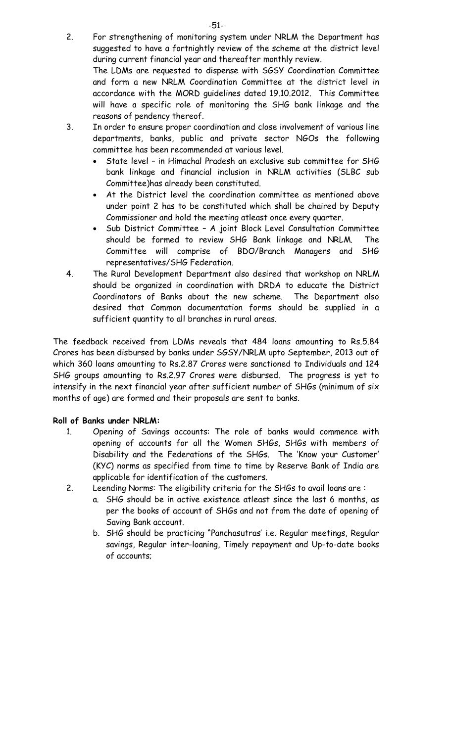2. For strengthening of monitoring system under NRLM the Department has suggested to have a fortnightly review of the scheme at the district level during current financial year and thereafter monthly review.

The LDMs are requested to dispense with SGSY Coordination Committee and form a new NRLM Coordination Committee at the district level in accordance with the MORD guidelines dated 19.10.2012. This Committee will have a specific role of monitoring the SHG bank linkage and the reasons of pendency thereof.

- 3. In order to ensure proper coordination and close involvement of various line departments, banks, public and private sector NGOs the following committee has been recommended at various level.
	- · State level in Himachal Pradesh an exclusive sub committee for SHG bank linkage and financial inclusion in NRLM activities (SLBC sub Committee)has already been constituted.
	- · At the District level the coordination committee as mentioned above under point 2 has to be constituted which shall be chaired by Deputy Commissioner and hold the meeting atleast once every quarter.
	- Sub District Committee A joint Block Level Consultation Committee should be formed to review SHG Bank linkage and NRLM. The Committee will comprise of BDO/Branch Managers and SHG representatives/SHG Federation.
- 4. The Rural Development Department also desired that workshop on NRLM should be organized in coordination with DRDA to educate the District Coordinators of Banks about the new scheme. The Department also desired that Common documentation forms should be supplied in a sufficient quantity to all branches in rural areas.

The feedback received from LDMs reveals that 484 loans amounting to Rs.5.84 Crores has been disbursed by banks under SGSY/NRLM upto September, 2013 out of which 360 loans amounting to Rs.2.87 Crores were sanctioned to Individuals and 124 SHG groups amounting to Rs.2.97 Crores were disbursed. The progress is yet to intensify in the next financial year after sufficient number of SHGs (minimum of six months of age) are formed and their proposals are sent to banks.

#### **Roll of Banks under NRLM:**

- 1. Opening of Savings accounts: The role of banks would commence with opening of accounts for all the Women SHGs, SHGs with members of Disability and the Federations of the SHGs. The 'Know your Customer' (KYC) norms as specified from time to time by Reserve Bank of India are applicable for identification of the customers.
- 2. Leending Norms: The eligibility criteria for the SHGs to avail loans are :
	- a. SHG should be in active existence atleast since the last 6 months, as per the books of account of SHGs and not from the date of opening of Saving Bank account.
	- b. SHG should be practicing "Panchasutras' i.e. Regular meetings, Regular savings, Regular inter-loaning, Timely repayment and Up-to-date books of accounts;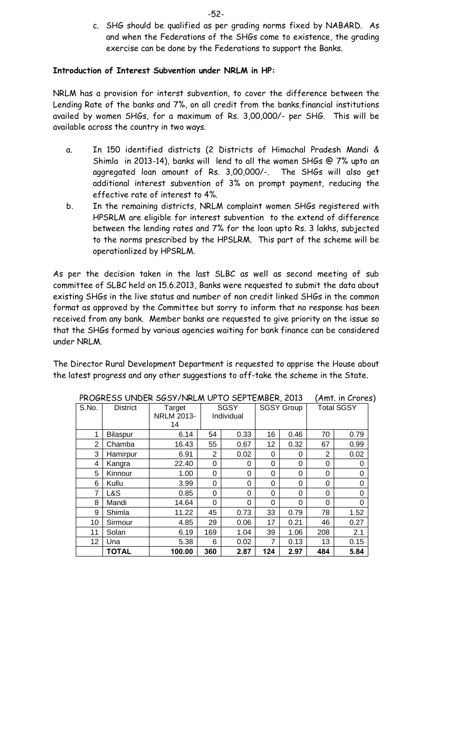c. SHG should be qualified as per grading norms fixed by NABARD. As and when the Federations of the SHGs come to existence, the grading exercise can be done by the Federations to support the Banks.

#### **Introduction of Interest Subvention under NRLM in HP:**

NRLM has a provision for interst subvention, to cover the difference between the Lending Rate of the banks and 7%, on all credit from the banks.financial institutions availed by women SHGs, for a maximum of Rs. 3,00,000/- per SHG. This will be available across the country in two ways.

- a. In 150 identified districts (2 Districts of Himachal Pradesh Mandi & Shimla in 2013-14), banks will lend to all the women SHGs @ 7% upto an aggregated loan amount of Rs. 3,00,000/-. The SHGs will also get additional interest subvention of 3% on prompt payment, reducing the effective rate of interest to 4%.
- b. In the remaining districts, NRLM complaint women SHGs registered with HPSRLM are eligible for interest subvention to the extend of difference between the lending rates and 7% for the loan upto Rs. 3 lakhs, subjected to the norms prescribed by the HPSLRM. This part of the scheme will be operationlized by HPSRLM.

As per the decision taken in the last SLBC as well as second meeting of sub committee of SLBC held on 15.6.2013, Banks were requested to submit the data about existing SHGs in the live status and number of non credit linked SHGs in the common format as approved by the Committee but sorry to inform that no response has been received from any bank. Member banks are requested to give priority on the issue so that the SHGs formed by various agencies waiting for bank finance can be considered under NRLM.

The Director Rural Development Department is requested to apprise the House about the latest progress and any other suggestions to off-take the scheme in the State.

| S.No. | <b>District</b> | Target<br><b>NRLM 2013-</b><br>14 |     | <b>SGSY</b><br>Individual |     | <b>SGSY Group</b> |          | <b>Total SGSY</b> |
|-------|-----------------|-----------------------------------|-----|---------------------------|-----|-------------------|----------|-------------------|
| 1     | Bilaspur        | 6.14                              | 54  | 0.33                      | 16  | 0.46              | 70       | 0.79              |
| 2     | Chamba          | 16.43                             | 55  | 0.67                      | 12  | 0.32              | 67       | 0.99              |
| 3     | Hamirpur        | 6.91                              | 2   | 0.02                      | 0   | 0                 | 2        | 0.02              |
| 4     | Kangra          | 22.40                             | 0   | 0                         | 0   | 0                 | 0        | 0                 |
| 5     | Kinnour         | 1.00                              | 0   | 0                         | 0   | 0                 | 0        | 0                 |
| 6     | Kullu           | 3.99                              | 0   | $\Omega$                  | 0   | 0                 | 0        | 0                 |
| 7     | L&S             | 0.85                              | 0   | 0                         | 0   | 0                 | $\Omega$ | $\Omega$          |
| 8     | Mandi           | 14.64                             | 0   | 0                         | 0   | 0                 | 0        | 0                 |
| 9     | Shimla          | 11.22                             | 45  | 0.73                      | 33  | 0.79              | 78       | 1.52              |
| 10    | Sirmour         | 4.85                              | 29  | 0.06                      | 17  | 0.21              | 46       | 0.27              |
| 11    | Solan           | 6.19                              | 169 | 1.04                      | 39  | 1.06              | 208      | 2.1               |
| 12    | Una             | 5.38                              | 6   | 0.02                      | 7   | 0.13              | 13       | 0.15              |
|       | <b>TOTAL</b>    | 100.00                            | 360 | 2.87                      | 124 | 2.97              | 484      | 5.84              |

PROGRESS UNDER SGSY/NRLM UPTO SEPTEMBER, 2013 (Amt. in Crores)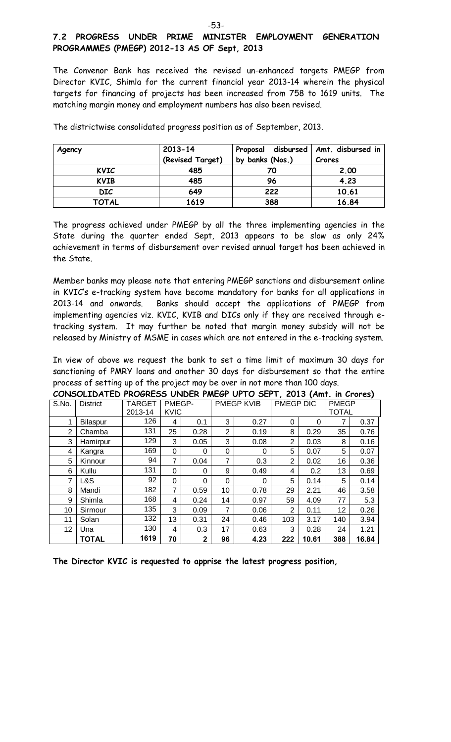#### **7.2 PROGRESS UNDER PRIME MINISTER EMPLOYMENT GENERATION PROGRAMMES (PMEGP) 2012-13 AS OF Sept, 2013**

The Convenor Bank has received the revised un-enhanced targets PMEGP from Director KVIC, Shimla for the current financial year 2013-14 wherein the physical targets for financing of projects has been increased from 758 to 1619 units. The matching margin money and employment numbers has also been revised.

| Agency      | $2013 - 14$<br>(Revised Target) | Proposal disbursed   Amt. disbursed in<br>by banks (Nos.) | Crores |
|-------------|---------------------------------|-----------------------------------------------------------|--------|
| <b>KVIC</b> | 485                             | 70                                                        | 2.00   |
| <b>KVIB</b> | 485                             | 96                                                        | 4.23   |
| <b>DIC</b>  | 649                             | 222                                                       | 10.61  |
| TOTAL       | 1619                            | 388                                                       | 16.84  |

The districtwise consolidated progress position as of September, 2013.

The progress achieved under PMEGP by all the three implementing agencies in the State during the quarter ended Sept, 2013 appears to be slow as only 24% achievement in terms of disbursement over revised annual target has been achieved in the State.

Member banks may please note that entering PMEGP sanctions and disbursement online in KVIC's e-tracking system have become mandatory for banks for all applications in 2013-14 and onwards. Banks should accept the applications of PMEGP from implementing agencies viz. KVIC, KVIB and DICs only if they are received through etracking system. It may further be noted that margin money subsidy will not be released by Ministry of MSME in cases which are not entered in the e-tracking system.

In view of above we request the bank to set a time limit of maximum 30 days for sanctioning of PMRY loans and another 30 days for disbursement so that the entire process of setting up of the project may be over in not more than 100 days.

|       | CONSOLIDATED PROGRESS UNDER PMEGP UPTO SEPT, 2013 (Amt. in Crores) |               |             |              |                |                   |                |          |              |       |
|-------|--------------------------------------------------------------------|---------------|-------------|--------------|----------------|-------------------|----------------|----------|--------------|-------|
| S.No. | <b>District</b>                                                    | <b>TARGET</b> | PMEGP-      |              |                | <b>PMEGP KVIB</b> | PMEGP DIC      |          | <b>PMEGP</b> |       |
|       |                                                                    | 2013-14       | <b>KVIC</b> |              |                |                   |                |          | <b>TOTAL</b> |       |
| 1     | Bilaspur                                                           | 126           | 4           | 0.1          | 3              | 0.27              | 0              | $\Omega$ | 7            | 0.37  |
| 2     | Chamba                                                             | 131           | 25          | 0.28         | $\overline{2}$ | 0.19              | 8              | 0.29     | 35           | 0.76  |
| 3     | Hamirpur                                                           | 129           | 3           | 0.05         | 3              | 0.08              | 2              | 0.03     | 8            | 0.16  |
| 4     | Kangra                                                             | 169           | 0           | 0            | 0              | 0                 | 5              | 0.07     | 5            | 0.07  |
| 5     | Kinnour                                                            | 94            | 7           | 0.04         | 7              | 0.3               | 2              | 0.02     | 16           | 0.36  |
| 6     | Kullu                                                              | 131           | $\Omega$    | 0            | 9              | 0.49              | 4              | 0.2      | 13           | 0.69  |
| 7     | L&S                                                                | 92            | $\Omega$    | $\Omega$     | $\Omega$       | 0                 | 5              | 0.14     | 5            | 0.14  |
| 8     | Mandi                                                              | 182           | 7           | 0.59         | 10             | 0.78              | 29             | 2.21     | 46           | 3.58  |
| 9     | Shimla                                                             | 168           | 4           | 0.24         | 14             | 0.97              | 59             | 4.09     | 77           | 5.3   |
| 10    | Sirmour                                                            | 135           | 3           | 0.09         | $\overline{7}$ | 0.06              | $\overline{2}$ | 0.11     | 12           | 0.26  |
| 11    | Solan                                                              | 132           | 13          | 0.31         | 24             | 0.46              | 103            | 3.17     | 140          | 3.94  |
| 12    | Una                                                                | 130           | 4           | 0.3          | 17             | 0.63              | 3              | 0.28     | 24           | 1.21  |
|       | <b>TOTAL</b>                                                       | 1619          | 70          | $\mathbf{2}$ | 96             | 4.23              | 222            | 10.61    | 388          | 16.84 |

**The Director KVIC is requested to apprise the latest progress position,**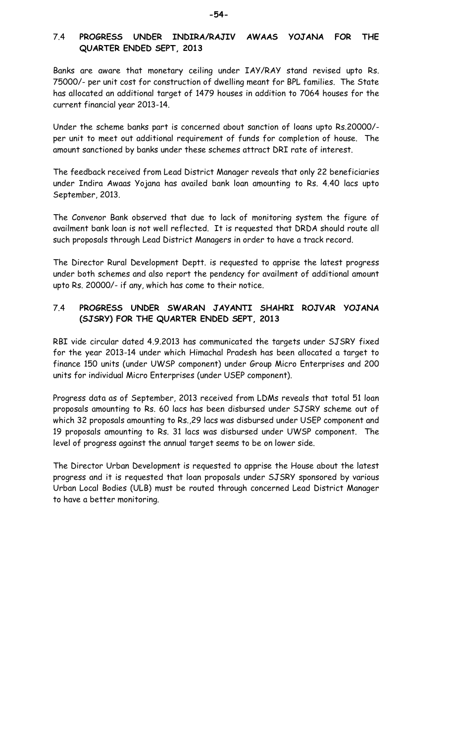#### 7.4 **PROGRESS UNDER INDIRA/RAJIV AWAAS YOJANA FOR THE QUARTER ENDED SEPT, 2013**

Banks are aware that monetary ceiling under IAY/RAY stand revised upto Rs. 75000/- per unit cost for construction of dwelling meant for BPL families. The State has allocated an additional target of 1479 houses in addition to 7064 houses for the current financial year 2013-14.

Under the scheme banks part is concerned about sanction of loans upto Rs.20000/ per unit to meet out additional requirement of funds for completion of house. The amount sanctioned by banks under these schemes attract DRI rate of interest.

The feedback received from Lead District Manager reveals that only 22 beneficiaries under Indira Awaas Yojana has availed bank loan amounting to Rs. 4.40 lacs upto September, 2013.

The Convenor Bank observed that due to lack of monitoring system the figure of availment bank loan is not well reflected. It is requested that DRDA should route all such proposals through Lead District Managers in order to have a track record.

The Director Rural Development Deptt. is requested to apprise the latest progress under both schemes and also report the pendency for availment of additional amount upto Rs. 20000/- if any, which has come to their notice.

#### 7.4 **PROGRESS UNDER SWARAN JAYANTI SHAHRI ROJVAR YOJANA (SJSRY) FOR THE QUARTER ENDED SEPT, 2013**

RBI vide circular dated 4.9.2013 has communicated the targets under SJSRY fixed for the year 2013-14 under which Himachal Pradesh has been allocated a target to finance 150 units (under UWSP component) under Group Micro Enterprises and 200 units for individual Micro Enterprises (under USEP component).

Progress data as of September, 2013 received from LDMs reveals that total 51 loan proposals amounting to Rs. 60 lacs has been disbursed under SJSRY scheme out of which 32 proposals amounting to Rs.,29 lacs was disbursed under USEP component and 19 proposals amounting to Rs. 31 lacs was disbursed under UWSP component. The level of progress against the annual target seems to be on lower side.

The Director Urban Development is requested to apprise the House about the latest progress and it is requested that loan proposals under SJSRY sponsored by various Urban Local Bodies (ULB) must be routed through concerned Lead District Manager to have a better monitoring.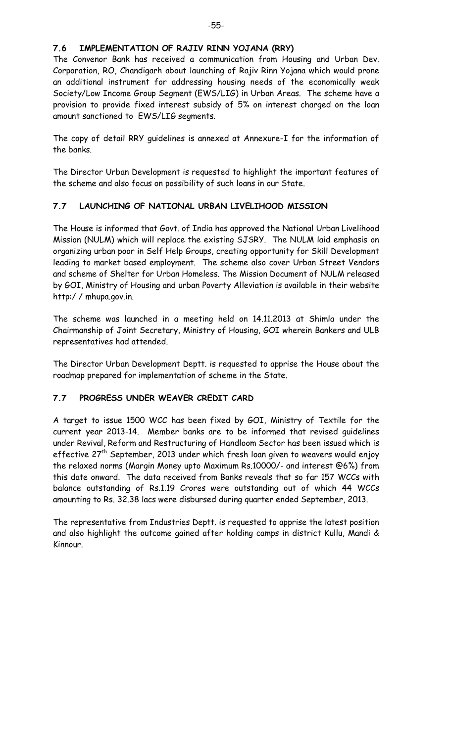#### **7.6 IMPLEMENTATION OF RAJIV RINN YOJANA (RRY)**

The Convenor Bank has received a communication from Housing and Urban Dev. Corporation, RO, Chandigarh about launching of Rajiv Rinn Yojana which would prone an additional instrument for addressing housing needs of the economically weak Society/Low Income Group Segment (EWS/LIG) in Urban Areas. The scheme have a provision to provide fixed interest subsidy of 5% on interest charged on the loan amount sanctioned to EWS/LIG segments.

The copy of detail RRY guidelines is annexed at Annexure-I for the information of the banks.

The Director Urban Development is requested to highlight the important features of the scheme and also focus on possibility of such loans in our State.

#### **7.7 LAUNCHING OF NATIONAL URBAN LIVELIHOOD MISSION**

The House is informed that Govt. of India has approved the National Urban Livelihood Mission (NULM) which will replace the existing SJSRY. The NULM laid emphasis on organizing urban poor in Self Help Groups, creating opportunity for Skill Development leading to market based employment. The scheme also cover Urban Street Vendors and scheme of Shelter for Urban Homeless. The Mission Document of NULM released by GOI, Ministry of Housing and urban Poverty Alleviation is available in their website http:/ / mhupa.gov.in.

The scheme was launched in a meeting held on 14.11.2013 at Shimla under the Chairmanship of Joint Secretary, Ministry of Housing, GOI wherein Bankers and ULB representatives had attended.

The Director Urban Development Deptt. is requested to apprise the House about the roadmap prepared for implementation of scheme in the State.

#### **7.7 PROGRESS UNDER WEAVER CREDIT CARD**

A target to issue 1500 WCC has been fixed by GOI, Ministry of Textile for the current year 2013-14. Member banks are to be informed that revised guidelines under Revival, Reform and Restructuring of Handloom Sector has been issued which is effective 27<sup>th</sup> September, 2013 under which fresh loan given to weavers would enjoy the relaxed norms (Margin Money upto Maximum Rs.10000/- and interest @6%) from this date onward. The data received from Banks reveals that so far 157 WCCs with balance outstanding of Rs.1.19 Crores were outstanding out of which 44 WCCs amounting to Rs. 32.38 lacs were disbursed during quarter ended September, 2013.

The representative from Industries Deptt. is requested to apprise the latest position and also highlight the outcome gained after holding camps in district Kullu, Mandi & Kinnour.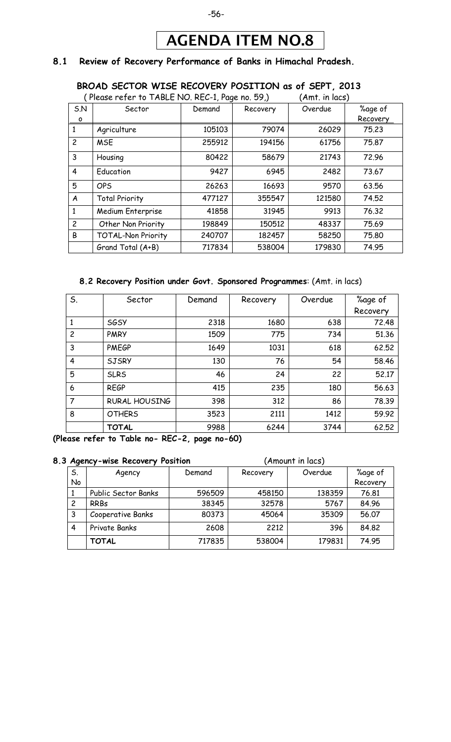## AGENDA ITEM NO.8

#### **8.1 Review of Recovery Performance of Banks in Himachal Pradesh.**

#### **BROAD SECTOR WISE RECOVERY POSITION as of SEPT, 2013**  $P = E - E$ <br>  $P = R = 1$

|                  | Please reter to TABLE NO. REC-1, Page no. 59.) |        |          | Amt. in lacs) |          |
|------------------|------------------------------------------------|--------|----------|---------------|----------|
| S.N              | Sector                                         | Demand | Recovery | Overdue       | %age of  |
| $\circ$          |                                                |        |          |               | Recovery |
| 1                | Agriculture                                    | 105103 | 79074    | 26029         | 75.23    |
| $\overline{c}$   | <b>MSE</b>                                     | 255912 | 194156   | 61756         | 75.87    |
| 3                | Housing                                        | 80422  | 58679    | 21743         | 72.96    |
| $\overline{4}$   | Education                                      | 9427   | 6945     | 2482          | 73.67    |
| 5                | <b>OPS</b>                                     | 26263  | 16693    | 9570          | 63.56    |
| $\boldsymbol{A}$ | <b>Total Priority</b>                          | 477127 | 355547   | 121580        | 74.52    |
| 1                | Medium Enterprise                              | 41858  | 31945    | 9913          | 76.32    |
| $\overline{2}$   | Other Non Priority                             | 198849 | 150512   | 48337         | 75.69    |
| B                | <b>TOTAL-Non Priority</b>                      | 240707 | 182457   | 58250         | 75.80    |
|                  | Grand Total (A+B)                              | 717834 | 538004   | 179830        | 74.95    |

#### **8.2 Recovery Position under Govt. Sponsored Programmes**: (Amt. in lacs)

| S.             | Sector               | Demand | Recovery | Overdue | %age of  |
|----------------|----------------------|--------|----------|---------|----------|
|                |                      |        |          |         | Recovery |
| 1              | <b>SGSY</b>          | 2318   | 1680     | 638     | 72.48    |
| $\overline{c}$ | <b>PMRY</b>          | 1509   | 775      | 734     | 51.36    |
| 3              | <b>PMEGP</b>         | 1649   | 1031     | 618     | 62.52    |
| $\overline{4}$ | <b>SJSRY</b>         | 130    | 76       | 54      | 58.46    |
| 5              | <b>SLRS</b>          | 46     | 24       | 22      | 52.17    |
| 6              | <b>REGP</b>          | 415    | 235      | 180     | 56.63    |
| $\overline{7}$ | <b>RURAL HOUSING</b> | 398    | 312      | 86      | 78.39    |
| 8              | <b>OTHERS</b>        | 3523   | 2111     | 1412    | 59.92    |
|                | <b>TOTAL</b>         | 9988   | 6244     | 3744    | 62.52    |

**(Please refer to Table no- REC-2, page no-60)**

#### **8.3 Agency-wise Recovery Position** (Amount in lacs)

| -  |                     |        |          |         |          |
|----|---------------------|--------|----------|---------|----------|
| S. | Agency              | Demand | Recovery | Overdue | %age of  |
| No |                     |        |          |         | Recovery |
|    | Public Sector Banks | 596509 | 458150   | 138359  | 76.81    |
| 2  | <b>RRBs</b>         | 38345  | 32578    | 5767    | 84.96    |
| 3  | Cooperative Banks   | 80373  | 45064    | 35309   | 56.07    |
| 4  | Private Banks       | 2608   | 2212     | 396     | 84.82    |
|    | TOTAL               | 717835 | 538004   | 179831  | 74.95    |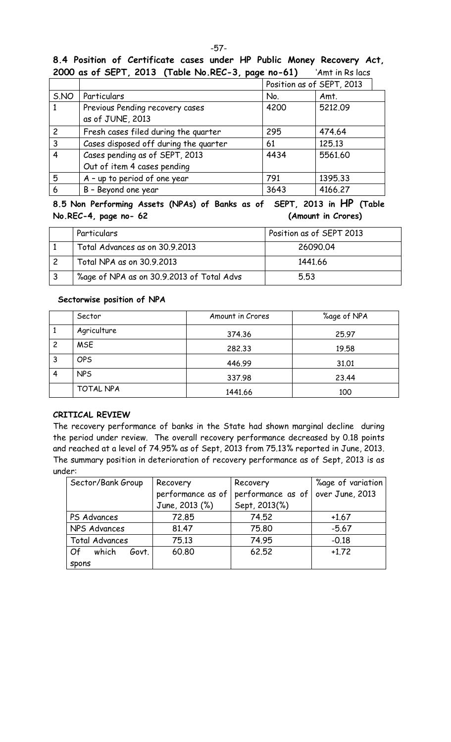#### **8.4 Position of Certificate cases under HP Public Money Recovery Act, 2000 as of SEPT, 2013 (Table No.REC-3, page no-61)** 'Amt in Rs lacs

|                |                                       |      | Position as of SEPT, 2013 |
|----------------|---------------------------------------|------|---------------------------|
| S.NO           | Particulars                           | No.  | Amt.                      |
|                | Previous Pending recovery cases       | 4200 | 5212.09                   |
|                | as of JUNE, 2013                      |      |                           |
| $\overline{c}$ | Fresh cases filed during the quarter  | 295  | 474.64                    |
| 3              | Cases disposed off during the quarter | 61   | 125.13                    |
| 4              | Cases pending as of SEPT, 2013        | 4434 | 5561.60                   |
|                | Out of item 4 cases pending           |      |                           |
| 5              | A - up to period of one year          | 791  | 1395.33                   |
| 6              | B - Beyond one year                   | 3643 | 4166.27                   |

**8.5 Non Performing Assets (NPAs) of Banks as of SEPT, 2013 in HP (Table No.REC-4, page no- 62 (Amount in Crores)**

| Particulars                               | Position as of SEPT 2013 |
|-------------------------------------------|--------------------------|
| Total Advances as on 30.9.2013            | 26090.04                 |
| Total NPA as on 30.9.2013                 | 1441.66                  |
| %age of NPA as on 30.9.2013 of Total Advs | 5.53                     |

#### **Sectorwise position of NPA**

|   | Sector      | Amount in Crores | %age of NPA |
|---|-------------|------------------|-------------|
|   | Agriculture | 374.36           | 25.97       |
| 2 | <b>MSE</b>  | 282,33           | 19.58       |
| 3 | <b>OPS</b>  | 446.99           | 31.01       |
| 4 | <b>NPS</b>  | 337.98           | 23.44       |
|   | TOTAL NPA   | 1441.66          | 100         |

#### **CRITICAL REVIEW**

The recovery performance of banks in the State had shown marginal decline during the period under review. The overall recovery performance decreased by 0.18 points and reached at a level of 74.95% as of Sept, 2013 from 75.13% reported in June, 2013. The summary position in deterioration of recovery performance as of Sept, 2013 is as under:

| Sector/Bank Group     | Recovery                                                   | Recovery      | %age of variation |  |
|-----------------------|------------------------------------------------------------|---------------|-------------------|--|
|                       | performance as of over June, 2013<br>performance as of $ $ |               |                   |  |
|                       | June, 2013 (%)                                             | Sept, 2013(%) |                   |  |
| PS Advances           | 72.85                                                      | 74.52         | $+1.67$           |  |
| NPS Advances          | 81.47                                                      | 75,80         |                   |  |
| <b>Total Advances</b> | 75.13                                                      | 74.95         | $-0.18$           |  |
| which<br>Of<br>Govt.  | 60.80                                                      | 62.52         | $+1.72$           |  |
| <b>Spons</b>          |                                                            |               |                   |  |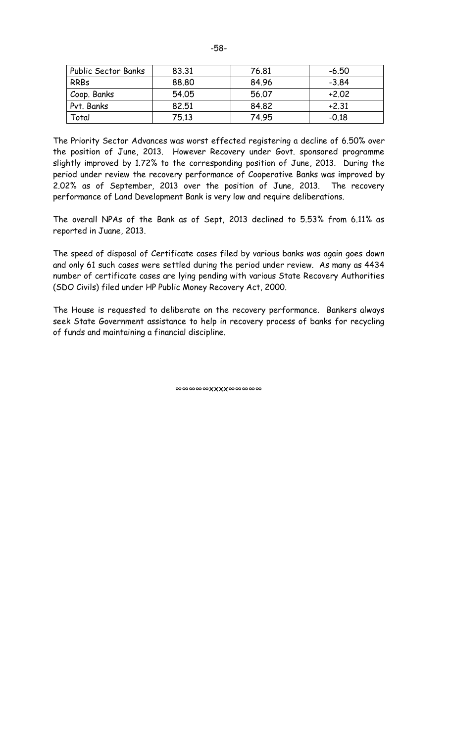| <b>Public Sector Banks</b> | 83.31 | 76.81 | $-6.50$ |
|----------------------------|-------|-------|---------|
| <b>RRBs</b>                | 88.80 | 84.96 | $-3.84$ |
| Coop. Banks                | 54.05 | 56.07 | $+2.02$ |
| Pvt. Banks                 | 82,51 | 84.82 | $+2.31$ |
| Total                      | 75.13 | 74.95 | $-0.18$ |

The Priority Sector Advances was worst effected registering a decline of 6.50% over the position of June, 2013. However Recovery under Govt. sponsored programme slightly improved by 1.72% to the corresponding position of June, 2013. During the period under review the recovery performance of Cooperative Banks was improved by 2.02% as of September, 2013 over the position of June, 2013. The recovery performance of Land Development Bank is very low and require deliberations.

The overall NPAs of the Bank as of Sept, 2013 declined to 5.53% from 6.11% as reported in Juane, 2013.

The speed of disposal of Certificate cases filed by various banks was again goes down and only 61 such cases were settled during the period under review. As many as 4434 number of certificate cases are lying pending with various State Recovery Authorities (SDO Civils) filed under HP Public Money Recovery Act, 2000.

The House is requested to deliberate on the recovery performance. Bankers always seek State Government assistance to help in recovery process of banks for recycling of funds and maintaining a financial discipline.

∞∞∞∞∞xxxx∞∞∞∞∞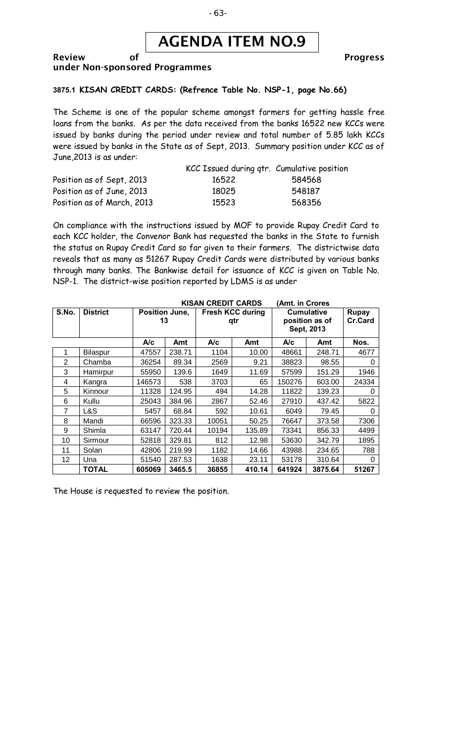

#### Review of **Progress** under Non-sponsored Programmes

#### **3875.1 KISAN CREDIT CARDS: (Refrence Table No. NSP-1, page No.66)**

The Scheme is one of the popular scheme amongst farmers for getting hassle free loans from the banks. As per the data received from the banks 16522 new KCCs were issued by banks during the period under review and total number of 5.85 lakh KCCs were issued by banks in the State as of Sept, 2013. Summary position under KCC as of June,2013 is as under:

|                            | KCC Issued during qtr. Cumulative position |        |
|----------------------------|--------------------------------------------|--------|
| Position as of Sept, 2013  | 16522                                      | 584568 |
| Position as of June, 2013  | 18025                                      | 548187 |
| Position as of March, 2013 | 15523                                      | 568356 |

On compliance with the instructions issued by MOF to provide Rupay Credit Card to each KCC holder, the Convenor Bank has requested the banks in the State to furnish the status on Rupay Credit Card so far given to their farmers. The districtwise data reveals that as many as 51267 Rupay Credit Cards were distributed by various banks through many banks. The Bankwise detail for issuance of KCC is given on Table No. NSP-1. The district-wise position reported by LDMS is as under

| <b>KISAN CREDIT CARDS</b><br>(Amt. in Crores |                 |                             |        |                                |        |                                                   |         |                         |
|----------------------------------------------|-----------------|-----------------------------|--------|--------------------------------|--------|---------------------------------------------------|---------|-------------------------|
| S.No.                                        | <b>District</b> | <b>Position June,</b><br>13 |        | <b>Fresh KCC during</b><br>qtr |        | <b>Cumulative</b><br>position as of<br>Sept, 2013 |         | <b>Rupay</b><br>Cr.Card |
|                                              |                 | A/c                         | Amt    | A/c                            | Amt    | A/c                                               | Amt     | Nos.                    |
| 1                                            | Bilaspur        | 47557                       | 238.71 | 1104                           | 10.00  | 48661                                             | 248.71  | 4677                    |
| 2                                            | Chamba          | 36254                       | 89.34  | 2569                           | 9.21   | 38823                                             | 98.55   | 0                       |
| 3                                            | Hamirpur        | 55950                       | 139.6  | 1649                           | 11.69  | 57599                                             | 151.29  | 1946                    |
| 4                                            | Kangra          | 146573                      | 538    | 3703                           | 65     | 150276                                            | 603.00  | 24334                   |
| 5                                            | Kinnour         | 11328                       | 124.95 | 494                            | 14.28  | 11822                                             | 139.23  | 0                       |
| 6                                            | Kullu           | 25043                       | 384.96 | 2867                           | 52.46  | 27910                                             | 437.42  | 5822                    |
| 7                                            | L&S             | 5457                        | 68.84  | 592                            | 10.61  | 6049                                              | 79.45   | O                       |
| 8                                            | Mandi           | 66596                       | 323.33 | 10051                          | 50.25  | 76647                                             | 373.58  | 7306                    |
| 9                                            | Shimla          | 63147                       | 720.44 | 10194                          | 135.89 | 73341                                             | 856.33  | 4499                    |
| 10                                           | Sirmour         | 52818                       | 329.81 | 812                            | 12.98  | 53630                                             | 342.79  | 1895                    |
| 11                                           | Solan           | 42806                       | 219.99 | 1182                           | 14.66  | 43988                                             | 234.65  | 788                     |
| 12                                           | Una             | 51540                       | 287.53 | 1638                           | 23.11  | 53178                                             | 310.64  | 0                       |
|                                              | <b>TOTAL</b>    | 605069                      | 3465.5 | 36855                          | 410.14 | 641924                                            | 3875.64 | 51267                   |

The House is requested to review the position.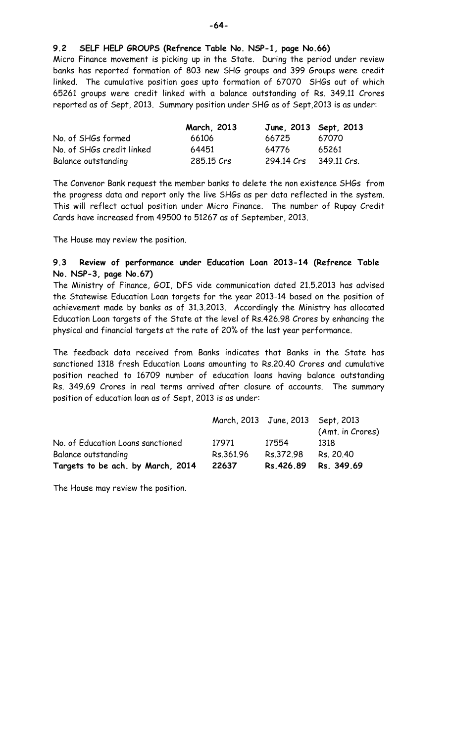**9.2 SELF HELP GROUPS (Refrence Table No. NSP-1, page No.66)**

Micro Finance movement is picking up in the State. During the period under review banks has reported formation of 803 new SHG groups and 399 Groups were credit linked. The cumulative position goes upto formation of 67070 SHGs out of which 65261 groups were credit linked with a balance outstanding of Rs. 349.11 Crores reported as of Sept, 2013. Summary position under SHG as of Sept,2013 is as under:

|                           | March, 2013 |            | June, 2013 Sept, 2013 |
|---------------------------|-------------|------------|-----------------------|
| No. of SHGs formed        | 66106       | 66725      | 67070                 |
| No. of SHGs credit linked | 64451       | 64776      | 65261                 |
| Balance outstanding       | 285.15 Crs  | 294.14 Crs | 349.11 Crs.           |

The Convenor Bank request the member banks to delete the non existence SHGs from the progress data and report only the live SHGs as per data reflected in the system. This will reflect actual position under Micro Finance. The number of Rupay Credit Cards have increased from 49500 to 51267 as of September, 2013.

The House may review the position.

#### **9.3 Review of performance under Education Loan 2013-14 (Refrence Table No. NSP-3, page No.67)**

The Ministry of Finance, GOI, DFS vide communication dated 21.5.2013 has advised the Statewise Education Loan targets for the year 2013-14 based on the position of achievement made by banks as of 31.3.2013. Accordingly the Ministry has allocated Education Loan targets of the State at the level of Rs.426.98 Crores by enhancing the physical and financial targets at the rate of 20% of the last year performance.

The feedback data received from Banks indicates that Banks in the State has sanctioned 1318 fresh Education Loans amounting to Rs.20.40 Crores and cumulative position reached to 16709 number of education loans having balance outstanding Rs. 349.69 Crores in real terms arrived after closure of accounts. The summary position of education loan as of Sept, 2013 is as under:

| Targets to be ach. by March, 2014 | 22637     | Rs.426.89                         | Rs. 349.69       |
|-----------------------------------|-----------|-----------------------------------|------------------|
| Balance outstanding               | Rs.361.96 | Rs.372.98                         | Rs. 20.40        |
| No. of Education Loans sanctioned | 17971     | 17554                             | 1318             |
|                                   |           | March, 2013 June, 2013 Sept, 2013 | (Amt. in Crores) |
|                                   |           |                                   |                  |

The House may review the position.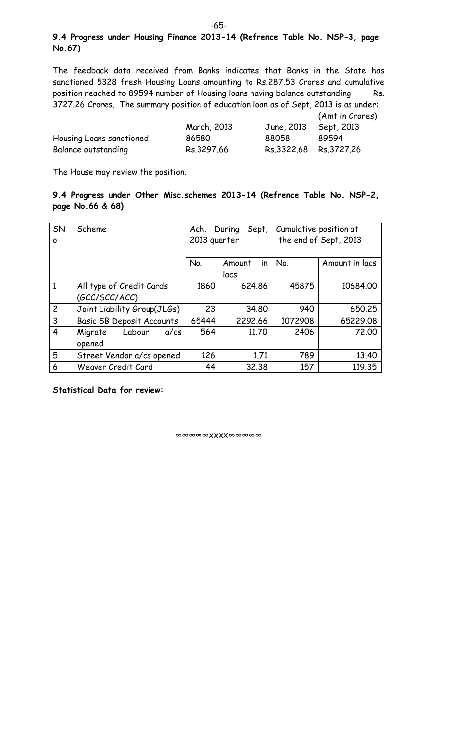#### **9.4 Progress under Housing Finance 2013-14 (Refrence Table No. NSP-3, page No.67)**

The feedback data received from Banks indicates that Banks in the State has sanctioned 5328 fresh Housing Loans amounting to Rs.287.53 Crores and cumulative position reached to 89594 number of Housing loans having balance outstanding Rs. 3727.26 Crores. The summary position of education loan as of Sept, 2013 is as under:

(Amt in Crores)

|                          | March, 2013 | June, 2013 Sept, 2013 |       |
|--------------------------|-------------|-----------------------|-------|
| Housing Loans sanctioned | 86580       | 88058                 | 89594 |
| Balance outstanding      | Rs.3297.66  | Rs.3322.68 Rs.3727.26 |       |

The House may review the position.

#### **9.4 Progress under Other Misc.schemes 2013-14 (Refrence Table No. NSP-2, page No.66 & 68)**

| SN             | Scheme                           | Sept,<br>Ach.<br>During |              | Cumulative position at |                |
|----------------|----------------------------------|-------------------------|--------------|------------------------|----------------|
| O              |                                  | 2013 quarter            |              | the end of Sept, 2013  |                |
|                |                                  |                         |              |                        |                |
|                |                                  | No.                     | in<br>Amount | No.                    | Amount in lacs |
|                |                                  |                         | lacs         |                        |                |
| $\mathbf{1}$   | All type of Credit Cards         | 1860                    | 624.86       | 45875                  | 10684.00       |
|                | (GCC/SCC/ACC)                    |                         |              |                        |                |
| $\overline{2}$ | Joint Liability Group(JLGs)      | 23                      | 34.80        | 940                    | 650.25         |
| 3              | <b>Basic SB Deposit Accounts</b> | 65444                   | 2292.66      | 1072908                | 65229.08       |
| 4              | Labour<br>Migrate<br>$a$ / $cs$  | 564                     | 11.70        | 2406                   | 72,00          |
|                | opened                           |                         |              |                        |                |
| 5              | Street Vendor a/cs opened        | 126                     | 1.71         | 789                    | 13.40          |
| 6              | Weaver Credit Card               | 44                      | 32.38        | 157                    | 119.35         |

**Statistical Data for review:**

∞∞∞∞∞xxxx∞∞∞∞∞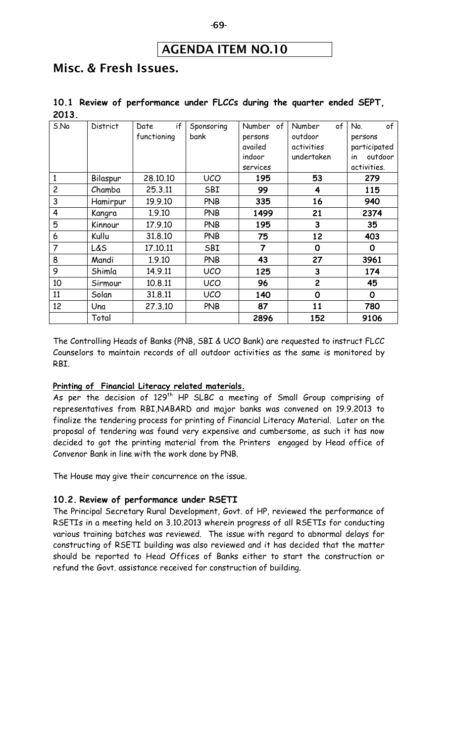#### AGENDA ITEM NO.10

## Misc. & Fresh Issues.

|       |  | 10.1 Review of performance under FLCCs during the quarter ended SEPT, |  |  |  |  |
|-------|--|-----------------------------------------------------------------------|--|--|--|--|
| 2013. |  |                                                                       |  |  |  |  |

| S.No           | <b>District</b> | if<br>Date<br>functioning | Sponsoring<br>bank | Number of<br>persons<br>availed<br>indoor<br>services | of<br>Number<br>outdoor<br>activities<br>undertaken | of<br>No.<br>persons<br>participated<br>outdoor<br>in<br>activities. |
|----------------|-----------------|---------------------------|--------------------|-------------------------------------------------------|-----------------------------------------------------|----------------------------------------------------------------------|
|                | Bilaspur        | 28,10,10                  | <b>UCO</b>         | 195                                                   | 53                                                  | 279                                                                  |
| $\overline{c}$ | Chamba          | 25.3.11                   | SBI                | 99                                                    | 4                                                   | 115                                                                  |
| 3              | Hamirpur        | 19.9.10                   | <b>PNB</b>         | 335                                                   | 16                                                  | 940                                                                  |
| $\overline{4}$ | Kangra          | 1.9.10                    | <b>PNB</b>         | 1499                                                  | 21                                                  | 2374                                                                 |
| 5              | Kinnour         | 17.9.10                   | <b>PNB</b>         | 195                                                   | 3                                                   | 35                                                                   |
| 6              | Kullu           | 31.8.10                   | <b>PNB</b>         | 75                                                    | 12                                                  | 403                                                                  |
| $\overline{7}$ | L&S             | 17.10.11                  | SBI                | $\overline{7}$                                        | 0                                                   | 0                                                                    |
| 8              | Mandi           | 1.9.10                    | <b>PNB</b>         | 43                                                    | 27                                                  | 3961                                                                 |
| 9              | Shimla          | 14.9.11                   | <b>UCO</b>         | 125                                                   | 3                                                   | 174                                                                  |
| 10             | Sirmour         | 10.8.11                   | <b>UCO</b>         | 96                                                    | $\overline{c}$                                      | 45                                                                   |
| 11             | Solan           | 31.8.11                   | <b>UCO</b>         | 140                                                   | $\mathbf 0$                                         | 0                                                                    |
| 12             | Una             | 27.3.10                   | <b>PNB</b>         | 87                                                    | 11                                                  | 780                                                                  |
|                | Total           |                           |                    | 2896                                                  | 152                                                 | 9106                                                                 |

The Controlling Heads of Banks (PNB, SBI & UCO Bank) are requested to instruct FLCC Counselors to maintain records of all outdoor activities as the same is monitored by RBI.

#### **Printing of Financial Literacy related materials.**

As per the decision of 129<sup>th</sup> HP SLBC a meeting of Small Group comprising of representatives from RBI,NABARD and major banks was convened on 19.9.2013 to finalize the tendering process for printing of Financial Literacy Material. Later on the proposal of tendering was found very expensive and cumbersome, as such it has now decided to got the printing material from the Printers engaged by Head office of Convenor Bank in line with the work done by PNB.

The House may give their concurrence on the issue.

#### **10.2. Review of performance under RSETI**

The Principal Secretary Rural Development, Govt. of HP, reviewed the performance of RSETIs in a meeting held on 3.10.2013 wherein progress of all RSETIs for conducting various training batches was reviewed. The issue with regard to abnormal delays for constructing of RSETI building was also reviewed and it has decided that the matter should be reported to Head Offices of Banks either to start the construction or refund the Govt. assistance received for construction of building.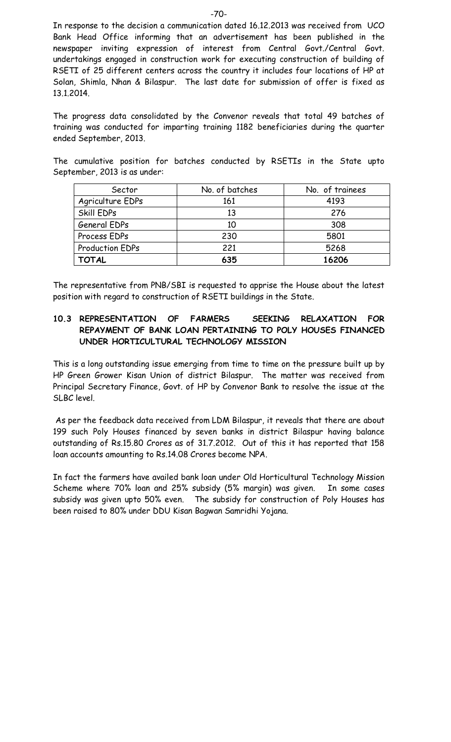In response to the decision a communication dated 16.12.2013 was received from UCO Bank Head Office informing that an advertisement has been published in the newspaper inviting expression of interest from Central Govt./Central Govt. undertakings engaged in construction work for executing construction of building of RSETI of 25 different centers across the country it includes four locations of HP at Solan, Shimla, Nhan & Bilaspur. The last date for submission of offer is fixed as 13.1.2014.

The progress data consolidated by the Convenor reveals that total 49 batches of training was conducted for imparting training 1182 beneficiaries during the quarter ended September, 2013.

The cumulative position for batches conducted by RSETIs in the State upto September, 2013 is as under:

| Sector                 | No. of batches | No. of trainees |
|------------------------|----------------|-----------------|
| Agriculture EDPs       | 161            | 4193            |
| Skill EDPs             | 13             | 276             |
| General EDPs           | 10             | 308             |
| Process EDPs           | 230            | 5801            |
| <b>Production EDPs</b> | 221            | 5268            |
| <b>TOTAL</b>           | 635            | 16206           |

The representative from PNB/SBI is requested to apprise the House about the latest position with regard to construction of RSETI buildings in the State.

#### **10.3 REPRESENTATION OF FARMERS SEEKING RELAXATION FOR REPAYMENT OF BANK LOAN PERTAINING TO POLY HOUSES FINANCED UNDER HORTICULTURAL TECHNOLOGY MISSION**

This is a long outstanding issue emerging from time to time on the pressure built up by HP Green Grower Kisan Union of district Bilaspur. The matter was received from Principal Secretary Finance, Govt. of HP by Convenor Bank to resolve the issue at the SLBC level.

As per the feedback data received from LDM Bilaspur, it reveals that there are about 199 such Poly Houses financed by seven banks in district Bilaspur having balance outstanding of Rs.15.80 Crores as of 31.7.2012. Out of this it has reported that 158 loan accounts amounting to Rs.14.08 Crores become NPA.

In fact the farmers have availed bank loan under Old Horticultural Technology Mission Scheme where 70% loan and 25% subsidy (5% margin) was given. In some cases subsidy was given upto 50% even. The subsidy for construction of Poly Houses has been raised to 80% under DDU Kisan Bagwan Samridhi Yojana.